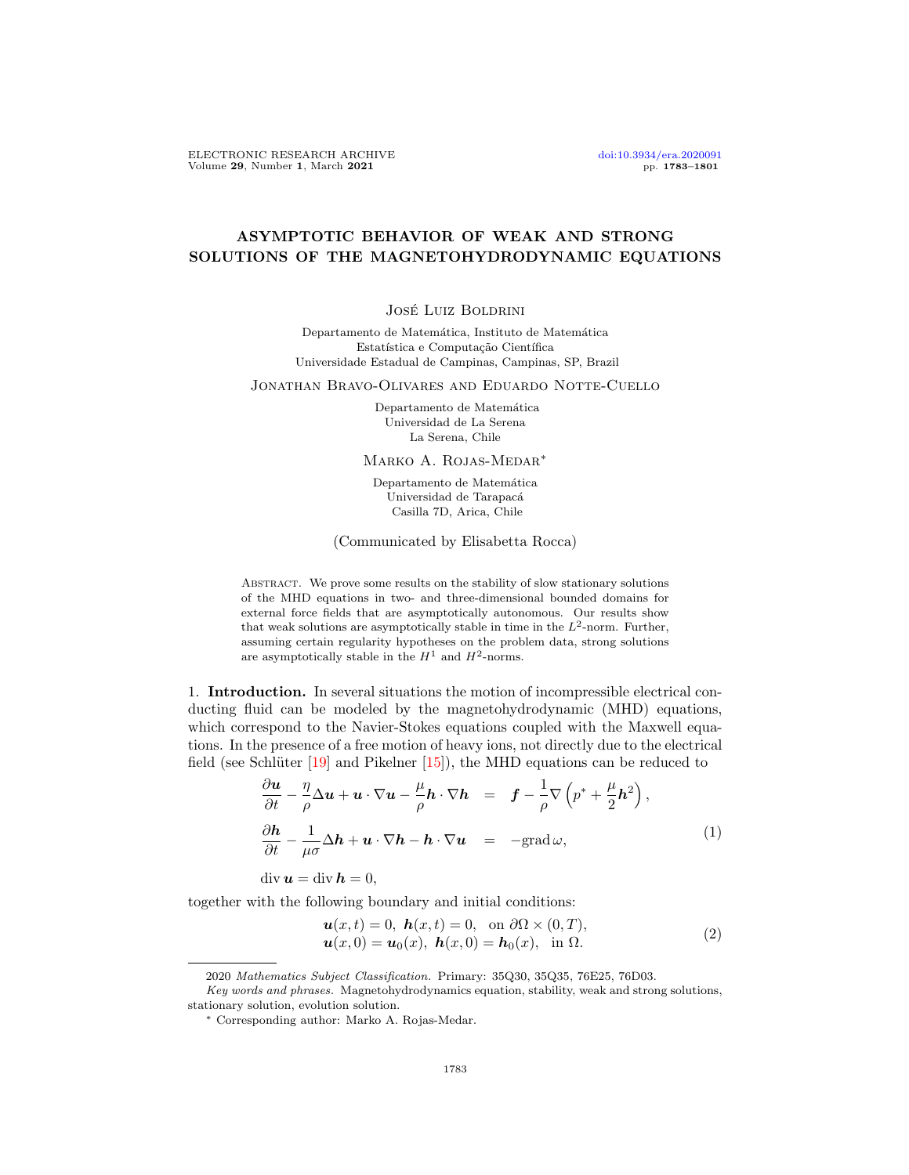# ASYMPTOTIC BEHAVIOR OF WEAK AND STRONG SOLUTIONS OF THE MAGNETOHYDRODYNAMIC EQUATIONS

#### José Luiz Boldrini

Departamento de Matemática, Instituto de Matemática Estatística e Computação Científica Universidade Estadual de Campinas, Campinas, SP, Brazil

Jonathan Bravo-Olivares and Eduardo Notte-Cuello

Departamento de Matemática Universidad de La Serena La Serena, Chile

Marko A. Rojas-Medar<sup>∗</sup>

Departamento de Matemática Universidad de Tarapacá Casilla 7D, Arica, Chile

(Communicated by Elisabetta Rocca)

Abstract. We prove some results on the stability of slow stationary solutions of the MHD equations in two- and three-dimensional bounded domains for external force fields that are asymptotically autonomous. Our results show that weak solutions are asymptotically stable in time in the  $L^2$ -norm. Further, assuming certain regularity hypotheses on the problem data, strong solutions are asymptotically stable in the  $H^1$  and  $H^2$ -norms.

1. Introduction. In several situations the motion of incompressible electrical conducting fluid can be modeled by the magnetohydrodynamic (MHD) equations, which correspond to the Navier-Stokes equations coupled with the Maxwell equations. In the presence of a free motion of heavy ions, not directly due to the electrical field (see Schlüter  $[19]$  and Pikelner  $[15]$ ), the MHD equations can be reduced to

<span id="page-0-0"></span>
$$
\frac{\partial \boldsymbol{u}}{\partial t} - \frac{\eta}{\rho} \Delta \boldsymbol{u} + \boldsymbol{u} \cdot \nabla \boldsymbol{u} - \frac{\mu}{\rho} \boldsymbol{h} \cdot \nabla \boldsymbol{h} = \boldsymbol{f} - \frac{1}{\rho} \nabla \left( p^* + \frac{\mu}{2} \boldsymbol{h}^2 \right),
$$
\n
$$
\frac{\partial \boldsymbol{h}}{\partial t} - \frac{1}{\mu \sigma} \Delta \boldsymbol{h} + \boldsymbol{u} \cdot \nabla \boldsymbol{h} - \boldsymbol{h} \cdot \nabla \boldsymbol{u} = -\text{grad}\,\omega,
$$
\n
$$
\text{div}\,\boldsymbol{u} = \text{div}\,\boldsymbol{h} = 0,
$$
\n(1)

together with the following boundary and initial conditions:

<span id="page-0-1"></span>
$$
\mathbf{u}(x,t) = 0, \ \mathbf{h}(x,t) = 0, \text{ on } \partial\Omega \times (0,T),\mathbf{u}(x,0) = \mathbf{u}_0(x), \ \mathbf{h}(x,0) = \mathbf{h}_0(x), \text{ in } \Omega.
$$
\n(2)

<sup>2020</sup> Mathematics Subject Classification. Primary: 35Q30, 35Q35, 76E25, 76D03.

Key words and phrases. Magnetohydrodynamics equation, stability, weak and strong solutions, stationary solution, evolution solution.

<sup>∗</sup> Corresponding author: Marko A. Rojas-Medar.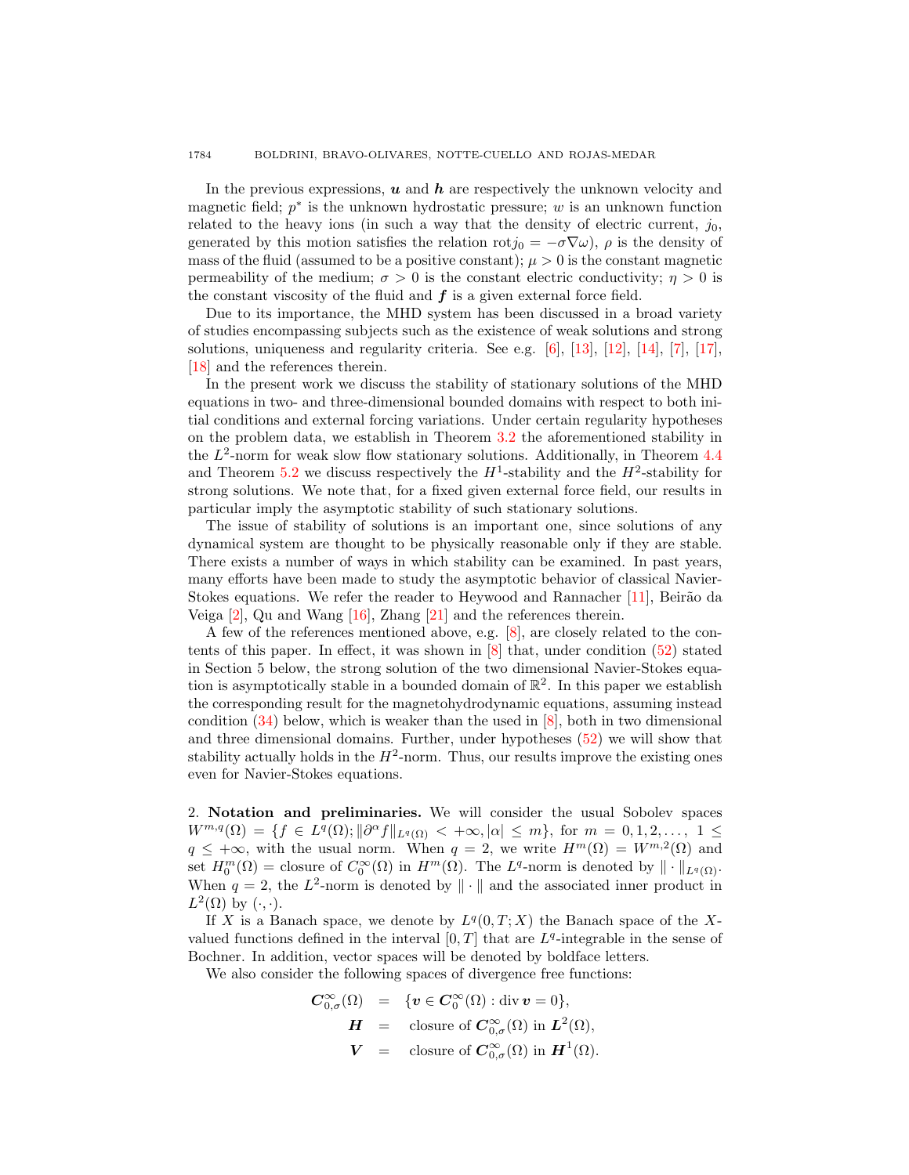#### 1784 BOLDRINI, BRAVO-OLIVARES, NOTTE-CUELLO AND ROJAS-MEDAR

In the previous expressions,  $u$  and  $h$  are respectively the unknown velocity and magnetic field;  $p^*$  is the unknown hydrostatic pressure; w is an unknown function related to the heavy ions (in such a way that the density of electric current,  $j_0$ , generated by this motion satisfies the relation  $rotj_0 = -\sigma \nabla \omega$ ,  $\rho$  is the density of mass of the fluid (assumed to be a positive constant);  $\mu > 0$  is the constant magnetic permeability of the medium;  $\sigma > 0$  is the constant electric conductivity;  $\eta > 0$  is the constant viscosity of the fluid and  $f$  is a given external force field.

Due to its importance, the MHD system has been discussed in a broad variety of studies encompassing subjects such as the existence of weak solutions and strong solutions, uniqueness and regularity criteria. See e.g.  $[6]$ ,  $[13]$ ,  $[12]$ ,  $[14]$ ,  $[7]$ ,  $[17]$ , [\[18\]](#page-17-8) and the references therein.

In the present work we discuss the stability of stationary solutions of the MHD equations in two- and three-dimensional bounded domains with respect to both initial conditions and external forcing variations. Under certain regularity hypotheses on the problem data, we establish in Theorem [3.2](#page-8-0) the aforementioned stability in the  $L^2$ -norm for weak slow flow stationary solutions. Additionally, in Theorem [4.4](#page-14-0) and Theorem [5.2](#page-17-9) we discuss respectively the  $H^1$ -stability and the  $H^2$ -stability for strong solutions. We note that, for a fixed given external force field, our results in particular imply the asymptotic stability of such stationary solutions.

The issue of stability of solutions is an important one, since solutions of any dynamical system are thought to be physically reasonable only if they are stable. There exists a number of ways in which stability can be examined. In past years, many efforts have been made to study the asymptotic behavior of classical Navier-Stokes equations. We refer the reader to Heywood and Rannacher [\[11\]](#page-17-10), Beirão da Veiga [\[2\]](#page-17-11), Qu and Wang [\[16\]](#page-17-12), Zhang [\[21\]](#page-18-0) and the references therein.

A few of the references mentioned above, e.g. [\[8\]](#page-17-13), are closely related to the contents of this paper. In effect, it was shown in [\[8\]](#page-17-13) that, under condition [\(52\)](#page-14-1) stated in Section 5 below, the strong solution of the two dimensional Navier-Stokes equation is asymptotically stable in a bounded domain of  $\mathbb{R}^2$ . In this paper we establish the corresponding result for the magnetohydrodynamic equations, assuming instead condition [\(34\)](#page-10-0) below, which is weaker than the used in [\[8\]](#page-17-13), both in two dimensional and three dimensional domains. Further, under hypotheses [\(52\)](#page-14-1) we will show that stability actually holds in the  $H^2$ -norm. Thus, our results improve the existing ones even for Navier-Stokes equations.

2. Notation and preliminaries. We will consider the usual Sobolev spaces  $W^{m,q}(\Omega) = \{f \in L^q(\Omega); ||\partial^{\alpha} f||_{L^q(\Omega)} < +\infty, |\alpha| \leq m\}, \text{ for } m = 0, 1, 2, \ldots, 1 \leq$  $q \leq +\infty$ , with the usual norm. When  $q = 2$ , we write  $H^m(\Omega) = W^{m,2}(\Omega)$  and set  $H_0^m(\Omega) =$  closure of  $C_0^{\infty}(\Omega)$  in  $H^m(\Omega)$ . The  $L^q$ -norm is denoted by  $\|\cdot\|_{L^q(\Omega)}$ . When  $q = 2$ , the  $L^2$ -norm is denoted by  $\|\cdot\|$  and the associated inner product in  $L^2(\Omega)$  by  $(\cdot, \cdot)$ .

If X is a Banach space, we denote by  $L^q(0,T;X)$  the Banach space of the Xvalued functions defined in the interval  $[0, T]$  that are  $L<sup>q</sup>$ -integrable in the sense of Bochner. In addition, vector spaces will be denoted by boldface letters.

We also consider the following spaces of divergence free functions:

$$
C_{0,\sigma}^{\infty}(\Omega) = \{ v \in C_0^{\infty}(\Omega) : \text{div } v = 0 \},
$$
  
\n
$$
H = \text{closure of } C_{0,\sigma}^{\infty}(\Omega) \text{ in } L^2(\Omega),
$$
  
\n
$$
V = \text{closure of } C_{0,\sigma}^{\infty}(\Omega) \text{ in } H^1(\Omega).
$$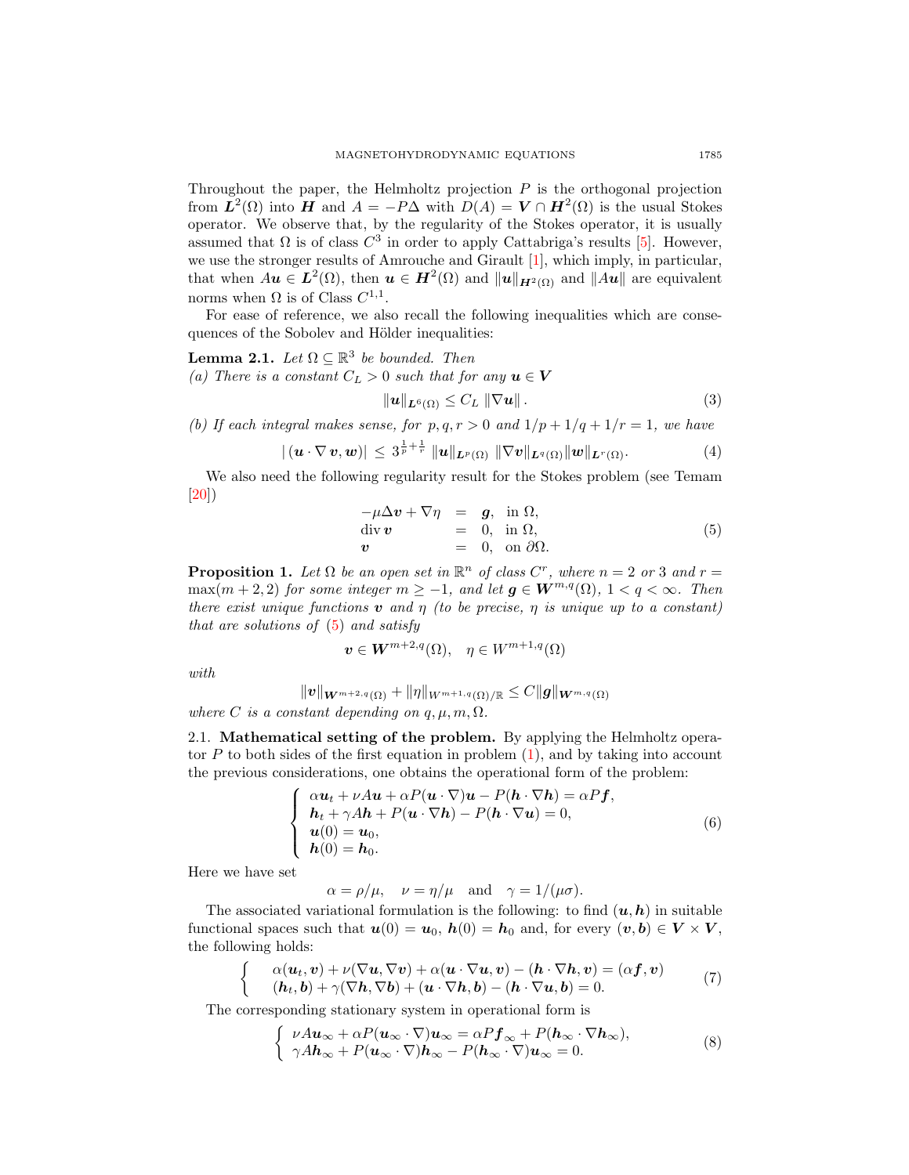Throughout the paper, the Helmholtz projection  $P$  is the orthogonal projection from  $\mathbf{L}^2(\Omega)$  into H and  $A = -P\Delta$  with  $D(A) = \mathbf{V} \cap \mathbf{H}^2(\Omega)$  is the usual Stokes operator. We observe that, by the regularity of the Stokes operator, it is usually assumed that  $\Omega$  is of class  $C^3$  in order to apply Cattabriga's results [\[5\]](#page-17-14). However, we use the stronger results of Amrouche and Girault [\[1\]](#page-17-15), which imply, in particular, that when  $Au \in L^2(\Omega)$ , then  $u \in H^2(\Omega)$  and  $||u||_{H^2(\Omega)}$  and  $||Au||$  are equivalent norms when  $\Omega$  is of Class  $C^{1,1}$ .

For ease of reference, we also recall the following inequalities which are consequences of the Sobolev and Hölder inequalities:

<span id="page-2-3"></span>**Lemma 2.1.** Let  $\Omega \subseteq \mathbb{R}^3$  be bounded. Then (a) There is a constant  $C_L > 0$  such that for any  $u \in V$ 

<span id="page-2-2"></span>
$$
\|\mathbf{u}\|_{\mathbf{L}^{6}(\Omega)} \leq C_{L} \|\nabla \mathbf{u}\|.
$$
 (3)

(b) If each integral makes sense, for  $p, q, r > 0$  and  $1/p + 1/q + 1/r = 1$ , we have

$$
|(\boldsymbol{u}\cdot\nabla\boldsymbol{v},\boldsymbol{w})|\leq 3^{\frac{1}{p}+\frac{1}{r}}\|\boldsymbol{u}\|_{\boldsymbol{L}^p(\Omega)}\|\nabla\boldsymbol{v}\|_{\boldsymbol{L}^q(\Omega)}\|\boldsymbol{w}\|_{\boldsymbol{L}^r(\Omega)}.
$$
 (4)

We also need the following regularity result for the Stokes problem (see Temam [\[20\]](#page-18-1))

<span id="page-2-0"></span>
$$
-\mu \Delta \mathbf{v} + \nabla \eta = \mathbf{g}, \text{ in } \Omega, \n\text{div } \mathbf{v} = 0, \text{ in } \Omega, \n\mathbf{v} = 0, \text{ on } \partial \Omega.
$$
\n(5)

<span id="page-2-4"></span>**Proposition 1.** Let  $\Omega$  be an open set in  $\mathbb{R}^n$  of class  $C^r$ , where  $n = 2$  or 3 and  $r =$  $\max(m+2, 2)$  for some integer  $m \geq -1$ , and let  $g \in W^{m,q}(\Omega)$ ,  $1 < q < \infty$ . Then there exist unique functions **v** and  $\eta$  (to be precise,  $\eta$  is unique up to a constant) that are solutions of  $(5)$  and satisfy

$$
\boldsymbol{v} \in \boldsymbol{W}^{m+2,q}(\Omega), \quad \eta \in W^{m+1,q}(\Omega)
$$

with

$$
\|\boldsymbol{v}\|_{\boldsymbol{W}^{m+2,q}(\Omega)}+\|\eta\|_{W^{m+1,q}(\Omega)/\mathbb{R}}\leq C\|\boldsymbol{g}\|_{\boldsymbol{W}^{m,q}(\Omega)}
$$

where C is a constant depending on  $q, \mu, m, \Omega$ .

2.1. Mathematical setting of the problem. By applying the Helmholtz operator P to both sides of the first equation in problem  $(1)$ , and by taking into account the previous considerations, one obtains the operational form of the problem:

$$
\begin{cases}\n\alpha u_t + \nu A u + \alpha P(u \cdot \nabla) u - P(h \cdot \nabla h) = \alpha P f, \\
h_t + \gamma A h + P(u \cdot \nabla h) - P(h \cdot \nabla u) = 0, \\
u(0) = u_0, \\
h(0) = h_0.\n\end{cases}
$$
\n(6)

Here we have set

 $\alpha = \rho/\mu$ ,  $\nu = \eta/\mu$  and  $\gamma = 1/(\mu\sigma)$ .

The associated variational formulation is the following: to find  $(u, h)$  in suitable functional spaces such that  $u(0) = u_0$ ,  $h(0) = h_0$  and, for every  $(v, b) \in V \times V$ , the following holds:

<span id="page-2-5"></span>
$$
\begin{cases}\n\alpha(\boldsymbol{u}_t, \boldsymbol{v}) + \nu(\nabla \boldsymbol{u}, \nabla \boldsymbol{v}) + \alpha(\boldsymbol{u} \cdot \nabla \boldsymbol{u}, \boldsymbol{v}) - (\boldsymbol{h} \cdot \nabla \boldsymbol{h}, \boldsymbol{v}) = (\alpha \boldsymbol{f}, \boldsymbol{v}) \\
(\boldsymbol{h}_t, \boldsymbol{b}) + \gamma(\nabla \boldsymbol{h}, \nabla \boldsymbol{b}) + (\boldsymbol{u} \cdot \nabla \boldsymbol{h}, \boldsymbol{b}) - (\boldsymbol{h} \cdot \nabla \boldsymbol{u}, \boldsymbol{b}) = 0.\n\end{cases} (7)
$$

The corresponding stationary system in operational form is

<span id="page-2-1"></span>
$$
\begin{cases}\n\nu A \mathbf{u}_{\infty} + \alpha P(\mathbf{u}_{\infty} \cdot \nabla) \mathbf{u}_{\infty} = \alpha P \mathbf{f}_{\infty} + P(\mathbf{h}_{\infty} \cdot \nabla \mathbf{h}_{\infty}), \\
\gamma A \mathbf{h}_{\infty} + P(\mathbf{u}_{\infty} \cdot \nabla) \mathbf{h}_{\infty} - P(\mathbf{h}_{\infty} \cdot \nabla) \mathbf{u}_{\infty} = 0.\n\end{cases} (8)
$$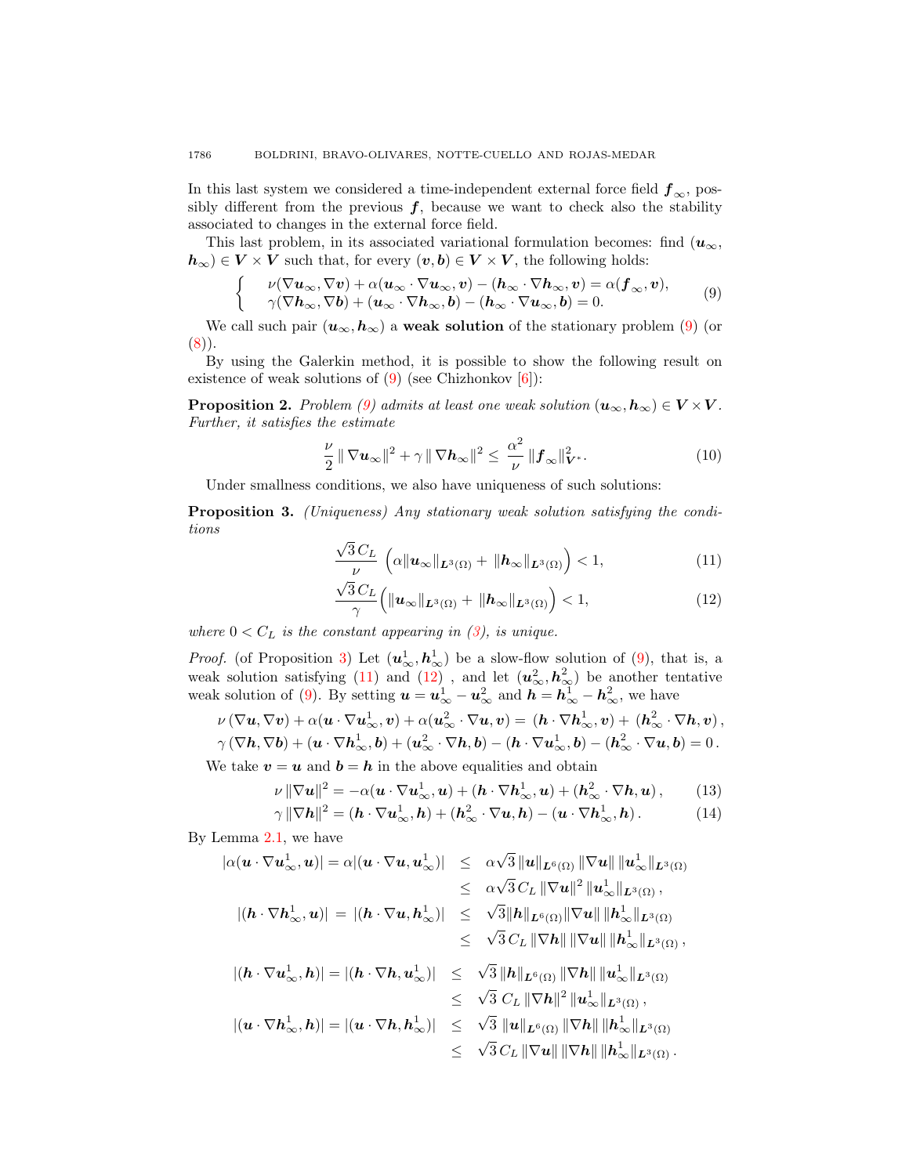In this last system we considered a time-independent external force field  $f_{\infty}$ , possibly different from the previous  $f$ , because we want to check also the stability associated to changes in the external force field.

This last problem, in its associated variational formulation becomes: find  $(u_{\infty},$  $h_{\infty}$ ) ∈  $V \times V$  such that, for every  $(v, b) \in V \times V$ , the following holds:

<span id="page-3-0"></span>
$$
\begin{cases}\n\nu(\nabla \boldsymbol{u}_{\infty}, \nabla \boldsymbol{v}) + \alpha(\boldsymbol{u}_{\infty} \cdot \nabla \boldsymbol{u}_{\infty}, \boldsymbol{v}) - (\boldsymbol{h}_{\infty} \cdot \nabla \boldsymbol{h}_{\infty}, \boldsymbol{v}) = \alpha(\boldsymbol{f}_{\infty}, \boldsymbol{v}), \\
\nu(\nabla \boldsymbol{h}_{\infty}, \nabla \boldsymbol{b}) + (\boldsymbol{u}_{\infty} \cdot \nabla \boldsymbol{h}_{\infty}, \boldsymbol{b}) - (\boldsymbol{h}_{\infty} \cdot \nabla \boldsymbol{u}_{\infty}, \boldsymbol{b}) = 0.\n\end{cases} \tag{9}
$$

We call such pair  $(u_{\infty}, h_{\infty})$  a weak solution of the stationary problem [\(9\)](#page-3-0) (or  $(8)$ .

By using the Galerkin method, it is possible to show the following result on existence of weak solutions of  $(9)$  (see Chizhonkov  $[6]$ ):

<span id="page-3-5"></span>**Proposition 2.** Problem [\(9\)](#page-3-0) admits at least one weak solution  $(\mathbf{u}_{\infty}, \mathbf{h}_{\infty}) \in V \times V$ . Further, it satisfies the estimate

<span id="page-3-4"></span>
$$
\frac{\nu}{2} \|\nabla \boldsymbol{u}_{\infty}\|^2 + \gamma \|\nabla \boldsymbol{h}_{\infty}\|^2 \leq \frac{\alpha^2}{\nu} \|\boldsymbol{f}_{\infty}\|_{\boldsymbol{V}^*}^2.
$$
 (10)

Under smallness conditions, we also have uniqueness of such solutions:

<span id="page-3-1"></span>Proposition 3. (Uniqueness) Any stationary weak solution satisfying the conditions √

<span id="page-3-2"></span>
$$
\frac{\sqrt{3}C_L}{\nu}\left(\alpha\|\boldsymbol{u}_{\infty}\|_{\boldsymbol{L}^3(\Omega)} + \|\boldsymbol{h}_{\infty}\|_{\boldsymbol{L}^3(\Omega)}\right) < 1,\tag{11}
$$

$$
\frac{\sqrt{3} C_L}{\gamma} \left( \| \boldsymbol{u}_{\infty} \|_{\boldsymbol{L}^3(\Omega)} + \| \boldsymbol{h}_{\infty} \|_{\boldsymbol{L}^3(\Omega)} \right) < 1,\tag{12}
$$

where  $0 < C_L$  is the constant appearing in [\(3\)](#page-2-2), is unique.

*Proof.* (of Proposition [3\)](#page-3-1) Let  $(u^1_\infty, h^1_\infty)$  be a slow-flow solution of [\(9\)](#page-3-0), that is, a weak solution satisfying [\(11\)](#page-3-2) and [\(12\)](#page-3-2), and let  $(u_{\infty}^2, h_{\infty}^2)$  be another tentative weak solution of [\(9\)](#page-3-0). By setting  $u = u_{\infty}^1 - u_{\infty}^2$  and  $h = h_{\infty}^1 - h_{\infty}^2$ , we have

$$
\nu(\nabla u, \nabla v) + \alpha(u \cdot \nabla u_{\infty}^1, v) + \alpha(u_{\infty}^2 \cdot \nabla u, v) = (h \cdot \nabla h_{\infty}^1, v) + (h_{\infty}^2 \cdot \nabla h, v),
$$
  

$$
\gamma(\nabla h, \nabla b) + (u \cdot \nabla h_{\infty}^1, b) + (u_{\infty}^2 \cdot \nabla h, b) - (h \cdot \nabla u_{\infty}^1, b) - (h_{\infty}^2 \cdot \nabla u, b) = 0.
$$

We take  $v = u$  and  $b = h$  in the above equalities and obtain

<span id="page-3-3"></span>
$$
\nu \|\nabla \boldsymbol{u}\|^2 = -\alpha (\boldsymbol{u} \cdot \nabla \boldsymbol{u}_{\infty}^1, \boldsymbol{u}) + (\boldsymbol{h} \cdot \nabla \boldsymbol{h}_{\infty}^1, \boldsymbol{u}) + (\boldsymbol{h}_{\infty}^2 \cdot \nabla \boldsymbol{h}, \boldsymbol{u}), \qquad (13)
$$

$$
\gamma \|\nabla \mathbf{h}\|^2 = (\mathbf{h} \cdot \nabla \mathbf{u}_{\infty}^1, \mathbf{h}) + (\mathbf{h}_{\infty}^2 \cdot \nabla \mathbf{u}, \mathbf{h}) - (\mathbf{u} \cdot \nabla \mathbf{h}_{\infty}^1, \mathbf{h}). \tag{14}
$$

By Lemma [2.1,](#page-2-3) we have

$$
|\alpha(\mathbf{u}\cdot\nabla\mathbf{u}_{\infty}^{1},\mathbf{u})| = \alpha|(\mathbf{u}\cdot\nabla\mathbf{u},\mathbf{u}_{\infty}^{1})| \leq \alpha\sqrt{3} \|\mathbf{u}\|_{\mathbf{L}^{6}(\Omega)} \|\nabla\mathbf{u}\| \|\mathbf{u}_{\infty}^{1}\|_{\mathbf{L}^{3}(\Omega)}
$$
  
\n
$$
\leq \alpha\sqrt{3} C_{L} \|\nabla\mathbf{u}\|^{2} \|\mathbf{u}_{\infty}^{1}\|_{\mathbf{L}^{3}(\Omega)},
$$
  
\n
$$
|(\mathbf{h}\cdot\nabla\mathbf{h}_{\infty}^{1},\mathbf{u})| = |(\mathbf{h}\cdot\nabla\mathbf{u},\mathbf{h}_{\infty}^{1})| \leq \sqrt{3} \|\mathbf{h}\|_{\mathbf{L}^{6}(\Omega)} \|\nabla\mathbf{u}\| \|\mathbf{h}_{\infty}^{1}\|_{\mathbf{L}^{3}(\Omega)},
$$
  
\n
$$
\leq \sqrt{3} C_{L} \|\nabla\mathbf{h}\| \|\nabla\mathbf{u}\| \|\mathbf{h}_{\infty}^{1}\|_{\mathbf{L}^{3}(\Omega)},
$$
  
\n
$$
|(\mathbf{h}\cdot\nabla\mathbf{u}_{\infty}^{1},\mathbf{h})| = |(\mathbf{h}\cdot\nabla\mathbf{h},\mathbf{u}_{\infty}^{1})| \leq \sqrt{3} \|\mathbf{h}\|_{\mathbf{L}^{6}(\Omega)} \|\nabla\mathbf{h}\| \|\mathbf{u}_{\infty}^{1}\|_{\mathbf{L}^{3}(\Omega)},
$$
  
\n
$$
\leq \sqrt{3} C_{L} \|\nabla\mathbf{h}\|^{2} \|\mathbf{u}_{\infty}^{1}\|_{\mathbf{L}^{3}(\Omega)},
$$
  
\n
$$
|(\mathbf{u}\cdot\nabla\mathbf{h}_{\infty}^{1},\mathbf{h})| = |(\mathbf{u}\cdot\nabla\mathbf{h},\mathbf{h}_{\infty}^{1})| \leq \sqrt{3} \|\mathbf{u}\|_{\mathbf{L}^{6}(\Omega)} \|\nabla\mathbf{h}\| \|\mathbf{h}_{\infty
$$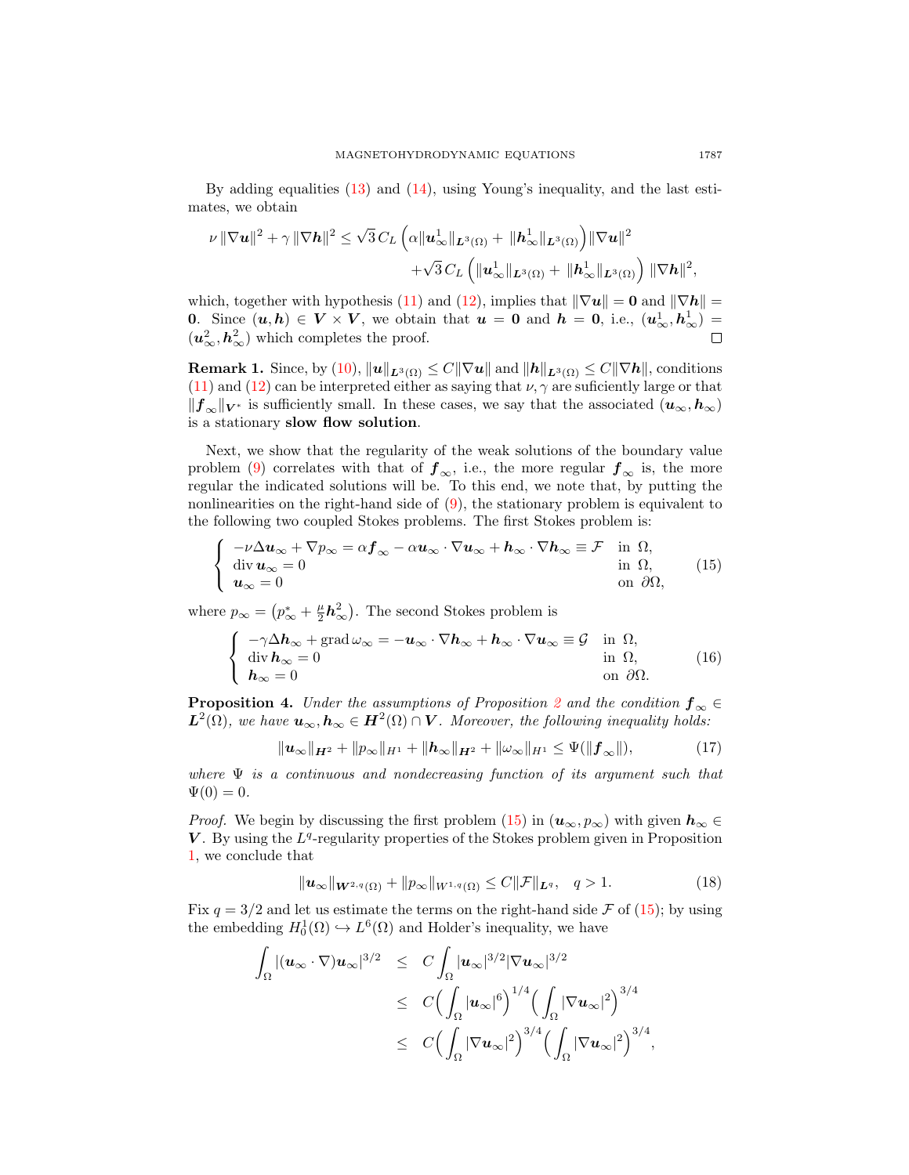By adding equalities [\(13\)](#page-3-3) and [\(14\)](#page-3-3), using Young's inequality, and the last estimates, we obtain

$$
\nu \|\nabla u\|^2 + \gamma \|\nabla h\|^2 \leq \sqrt{3} C_L \left( \alpha \|u^1_{\infty}\|_{L^3(\Omega)} + \|h^1_{\infty}\|_{L^3(\Omega)} \right) \|\nabla u\|^2
$$
  
 
$$
+ \sqrt{3} C_L \left( \|u^1_{\infty}\|_{L^3(\Omega)} + \|h^1_{\infty}\|_{L^3(\Omega)} \right) \|\nabla h\|^2,
$$

which, together with hypothesis [\(11\)](#page-3-2) and [\(12\)](#page-3-2), implies that  $\|\nabla u\| = 0$  and  $\|\nabla h\|$ 0. Since  $(u, h) \in V \times V$ , we obtain that  $u = 0$  and  $h = 0$ , i.e.,  $(u^1_{\infty}, h^1_{\infty}) =$  $(u_{\infty}^2, h_{\infty}^2)$  which completes the proof.

**Remark 1.** Since, by [\(10\)](#page-3-4),  $||u||_{L^3(\Omega)} \leq C||\nabla u||$  and  $||h||_{L^3(\Omega)} \leq C||\nabla h||$ , conditions [\(11\)](#page-3-2) and [\(12\)](#page-3-2) can be interpreted either as saying that  $\nu$ ,  $\gamma$  are suficiently large or that  $||f_\infty||_{V^*}$  is sufficiently small. In these cases, we say that the associated  $(u_\infty, h_\infty)$ is a stationary slow flow solution.

Next, we show that the regularity of the weak solutions of the boundary value problem [\(9\)](#page-3-0) correlates with that of  $f_{\infty}$ , i.e., the more regular  $f_{\infty}$  is, the more regular the indicated solutions will be. To this end, we note that, by putting the nonlinearities on the right-hand side of [\(9\)](#page-3-0), the stationary problem is equivalent to the following two coupled Stokes problems. The first Stokes problem is:

<span id="page-4-0"></span>
$$
\begin{cases}\n-\nu \Delta u_{\infty} + \nabla p_{\infty} = \alpha \mathbf{f}_{\infty} - \alpha u_{\infty} \cdot \nabla u_{\infty} + \mathbf{h}_{\infty} \cdot \nabla \mathbf{h}_{\infty} \equiv \mathcal{F} & \text{in } \Omega, \\
\text{div } \mathbf{u}_{\infty} = 0 & \text{in } \Omega, \\
\mathbf{u}_{\infty} = 0 & \text{on } \partial \Omega,\n\end{cases}
$$
\n(15)

where  $p_{\infty} = (p_{\infty}^* + \frac{\mu}{2}h_{\infty}^2)$ . The second Stokes problem is

<span id="page-4-2"></span>
$$
\begin{cases}\n-\gamma \Delta \mathbf{h}_{\infty} + \text{grad} \,\omega_{\infty} = -\mathbf{u}_{\infty} \cdot \nabla \mathbf{h}_{\infty} + \mathbf{h}_{\infty} \cdot \nabla \mathbf{u}_{\infty} \equiv \mathcal{G} & \text{in } \Omega, \\
\text{div } \mathbf{h}_{\infty} = 0 & \text{in } \Omega, \\
\mathbf{h}_{\infty} = 0 & \text{on } \partial \Omega.\n\end{cases}
$$
\n(16)

**Proposition 4.** Under the assumptions of Proposition [2](#page-3-5) and the condition  $f_{\infty} \in$  $\bm{L}^2(\Omega)$ , we have  $\bm{u}_{\infty}, \bm{h}_{\infty} \in \bm{H}^2(\Omega) \cap \bm{V}$ . Moreover, the following inequality holds:

<span id="page-4-3"></span>
$$
\|\mathbf{u}_{\infty}\|_{\mathbf{H}^2} + \|p_{\infty}\|_{H^1} + \|\mathbf{h}_{\infty}\|_{\mathbf{H}^2} + \|\omega_{\infty}\|_{H^1} \leq \Psi(\|\mathbf{f}_{\infty}\|),
$$
 (17)

where  $\Psi$  is a continuous and nondecreasing function of its argument such that  $\Psi(0) = 0.$ 

*Proof.* We begin by discussing the first problem [\(15\)](#page-4-0) in  $(\mathbf{u}_{\infty}, p_{\infty})$  with given  $\mathbf{h}_{\infty} \in$  $V$ . By using the  $L<sup>q</sup>$ -regularity properties of the Stokes problem given in Proposition [1,](#page-2-4) we conclude that

<span id="page-4-1"></span>
$$
\|\mathbf{u}_{\infty}\|_{\mathbf{W}^{2,q}(\Omega)} + \|p_{\infty}\|_{W^{1,q}(\Omega)} \le C \|\mathcal{F}\|_{\mathbf{L}^q}, \quad q > 1.
$$
 (18)

Fix  $q = 3/2$  and let us estimate the terms on the right-hand side F of [\(15\)](#page-4-0); by using the embedding  $H_0^1(\Omega) \hookrightarrow L^6(\Omega)$  and Holder's inequality, we have

$$
\int_{\Omega} |(u_{\infty} \cdot \nabla)u_{\infty}|^{3/2} \leq C \int_{\Omega} |u_{\infty}|^{3/2} |\nabla u_{\infty}|^{3/2} \leq C \Big( \int_{\Omega} |u_{\infty}|^{6} \Big)^{1/4} \Big( \int_{\Omega} |\nabla u_{\infty}|^{2} \Big)^{3/4} \leq C \Big( \int_{\Omega} |\nabla u_{\infty}|^{2} \Big)^{3/4} \Big( \int_{\Omega} |\nabla u_{\infty}|^{2} \Big)^{3/4},
$$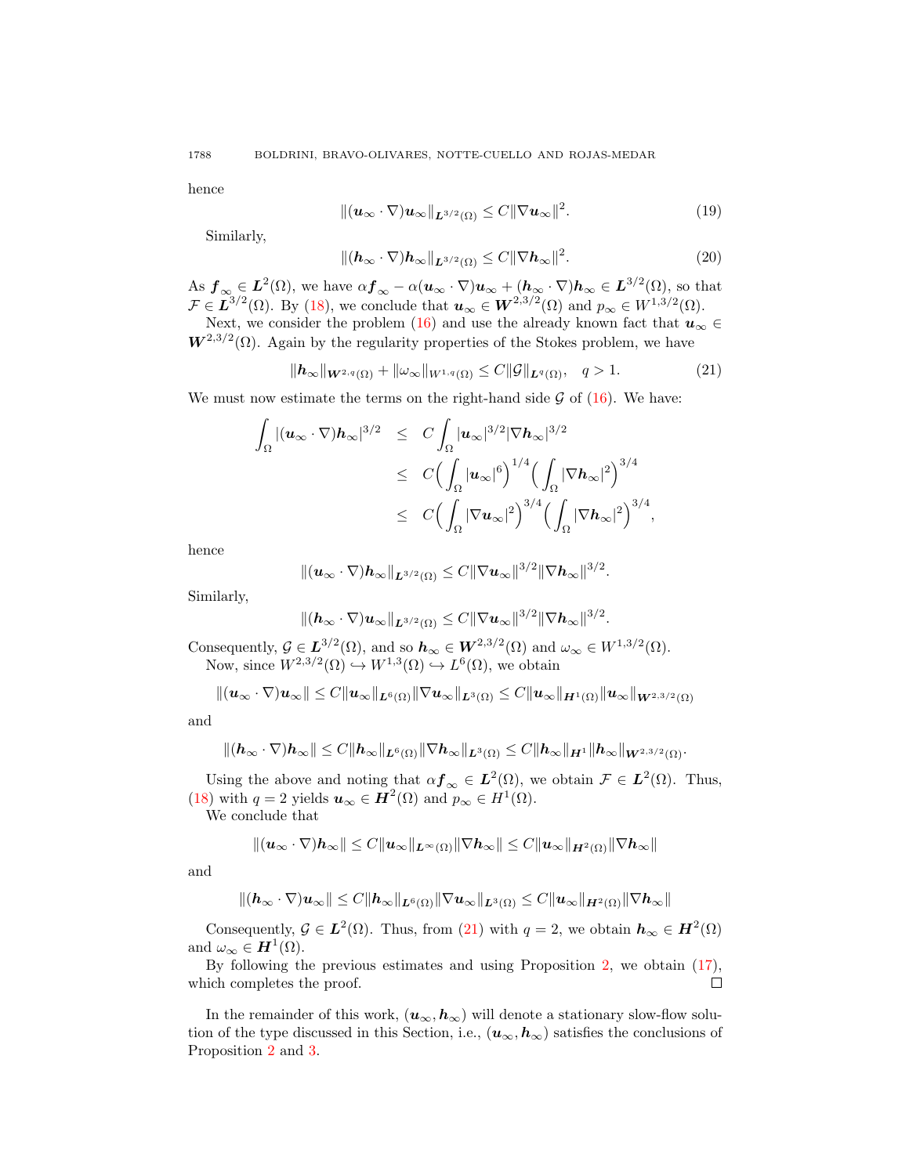hence

$$
\|(\boldsymbol{u}_{\infty}\cdot\nabla)\boldsymbol{u}_{\infty}\|_{\boldsymbol{L}^{3/2}(\Omega)} \leq C\|\nabla\boldsymbol{u}_{\infty}\|^2. \tag{19}
$$

Similarly,

$$
\|(\boldsymbol{h}_{\infty} \cdot \nabla)\boldsymbol{h}_{\infty}\|_{\boldsymbol{L}^{3/2}(\Omega)} \leq C \|\nabla \boldsymbol{h}_{\infty}\|^2. \tag{20}
$$

As  $f_{\infty} \in L^2(\Omega)$ , we have  $\alpha f_{\infty} - \alpha (u_{\infty} \cdot \nabla) u_{\infty} + (h_{\infty} \cdot \nabla) h_{\infty} \in L^{3/2}(\Omega)$ , so that  $\mathcal{F} \in L^{3/2}(\Omega)$ . By [\(18\)](#page-4-1), we conclude that  $u_{\infty} \in W^{2,3/2}(\Omega)$  and  $p_{\infty} \in W^{1,3/2}(\Omega)$ .

Next, we consider the problem [\(16\)](#page-4-2) and use the already known fact that  $u_{\infty} \in$  $W^{2,3/2}(\Omega)$ . Again by the regularity properties of the Stokes problem, we have

<span id="page-5-0"></span>
$$
\|\boldsymbol{h}_{\infty}\|_{\boldsymbol{W}^{2,q}(\Omega)} + \|\omega_{\infty}\|_{W^{1,q}(\Omega)} \le C \|\mathcal{G}\|_{\boldsymbol{L}^q(\Omega)}, \quad q > 1.
$$
 (21)

We must now estimate the terms on the right-hand side  $\mathcal G$  of [\(16\)](#page-4-2). We have:

$$
\int_{\Omega} |(u_{\infty} \cdot \nabla) \mathbf{h}_{\infty}|^{3/2} \leq C \int_{\Omega} |u_{\infty}|^{3/2} |\nabla \mathbf{h}_{\infty}|^{3/2} \n\leq C \Big( \int_{\Omega} |u_{\infty}|^{6} \Big)^{1/4} \Big( \int_{\Omega} |\nabla \mathbf{h}_{\infty}|^{2} \Big)^{3/4} \n\leq C \Big( \int_{\Omega} |\nabla u_{\infty}|^{2} \Big)^{3/4} \Big( \int_{\Omega} |\nabla \mathbf{h}_{\infty}|^{2} \Big)^{3/4},
$$

hence

$$
\|(\boldsymbol{u}_{\infty}\cdot\nabla)\boldsymbol{h}_{\infty}\|_{\boldsymbol{L}^{3/2}(\Omega)}\leq C\|\nabla\boldsymbol{u}_{\infty}\|^{3/2}\|\nabla\boldsymbol{h}_{\infty}\|^{3/2}.
$$

Similarly,

$$
\| (\boldsymbol{h}_{\infty}\cdot\nabla)\boldsymbol{u}_{\infty}\|_{\boldsymbol{L}^{3/2}(\Omega)}\leq C\|\nabla\boldsymbol{u}_{\infty}\|^{3/2}\|\nabla\boldsymbol{h}_{\infty}\|^{3/2}.
$$

Consequently,  $\mathcal{G} \in L^{3/2}(\Omega)$ , and so  $h_{\infty} \in W^{2,3/2}(\Omega)$  and  $\omega_{\infty} \in W^{1,3/2}(\Omega)$ . Now, since  $W^{2,3/2}(\Omega) \hookrightarrow W^{1,3}(\Omega) \hookrightarrow L^6(\Omega)$ , we obtain

$$
\|(\boldsymbol{u}_{\infty}\cdot\nabla)\boldsymbol{u}_{\infty}\|\leq C\|\boldsymbol{u}_{\infty}\|_{\boldsymbol{L}^{6}(\Omega)}\|\nabla\boldsymbol{u}_{\infty}\|_{\boldsymbol{L}^{3}(\Omega)}\leq C\|\boldsymbol{u}_{\infty}\|_{\boldsymbol{H}^{1}(\Omega)}\|\boldsymbol{u}_{\infty}\|_{\boldsymbol{W}^{2,3/2}(\Omega)}
$$

and

$$
\|(h_\infty\cdot\nabla)h_\infty\|\leq C\|h_\infty\|_{L^6(\Omega)}\|\nabla h_\infty\|_{L^3(\Omega)}\leq C\|h_\infty\|_{H^1}\|h_\infty\|_{W^{2,3/2}(\Omega)}.
$$

Using the above and noting that  $\alpha f_{\infty} \in L^2(\Omega)$ , we obtain  $\mathcal{F} \in L^2(\Omega)$ . Thus, [\(18\)](#page-4-1) with  $q = 2$  yields  $u_{\infty} \in H^2(\Omega)$  and  $p_{\infty} \in H^1(\Omega)$ .

We conclude that

$$
\|(\boldsymbol{u}_{\infty}\cdot\nabla)\boldsymbol{h}_{\infty}\|\leq C\|\boldsymbol{u}_{\infty}\|_{\boldsymbol{L}^{\infty}(\Omega)}\|\nabla\boldsymbol{h}_{\infty}\|\leq C\|\boldsymbol{u}_{\infty}\|_{\boldsymbol{H}^{2}(\Omega)}\|\nabla\boldsymbol{h}_{\infty}\|
$$

and

$$
\| (h_\infty \cdot \nabla) \mathbf{u}_\infty \| \leq C \| h_\infty \|_{L^6(\Omega)} \| \nabla \mathbf{u}_\infty \|_{L^3(\Omega)} \leq C \| \mathbf{u}_\infty \|_{H^2(\Omega)} \| \nabla h_\infty \|
$$

Consequently,  $\mathcal{G} \in L^2(\Omega)$ . Thus, from [\(21\)](#page-5-0) with  $q = 2$ , we obtain  $h_{\infty} \in H^2(\Omega)$ and  $\omega_{\infty} \in H^1(\Omega)$ .

By following the previous estimates and using Proposition [2,](#page-3-5) we obtain [\(17\)](#page-4-3),  $\Box$ which completes the proof.

In the remainder of this work,  $(u_{\infty}, h_{\infty})$  will denote a stationary slow-flow solution of the type discussed in this Section, i.e.,  $(u_{\infty}, h_{\infty})$  satisfies the conclusions of Proposition [2](#page-3-5) and [3.](#page-3-1)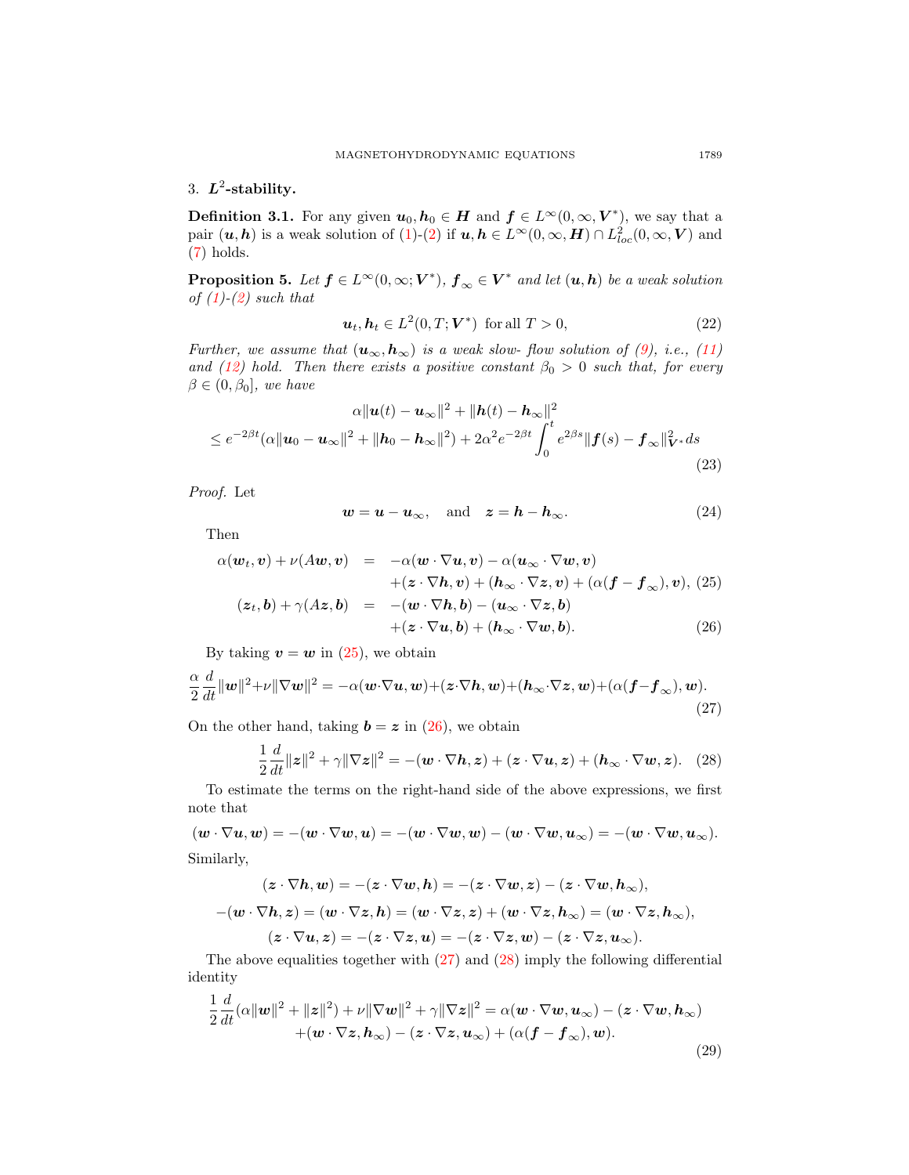# 3.  $L^2$ -stability.

**Definition 3.1.** For any given  $u_0, h_0 \in H$  and  $f \in L^{\infty}(0, \infty, V^*)$ , we say that a pair  $(u, h)$  is a weak solution of [\(1\)](#page-0-0)-[\(2\)](#page-0-1) if  $u, h \in L^{\infty}(0, \infty, H) \cap L^{2}_{loc}(0, \infty, V)$  and [\(7\)](#page-2-5) holds.

<span id="page-6-5"></span>**Proposition 5.** Let  $f \in L^{\infty}(0, \infty; V^*)$ ,  $f_{\infty} \in V^*$  and let  $(u, h)$  be a weak solution of  $(1)-(2)$  $(1)-(2)$  $(1)-(2)$  such that

$$
\boldsymbol{u}_t, \boldsymbol{h}_t \in L^2(0, T; \boldsymbol{V}^*) \text{ for all } T > 0,\tag{22}
$$

Further, we assume that  $(\mathbf{u}_{\infty}, \mathbf{h}_{\infty})$  is a weak slow-flow solution of [\(9\)](#page-3-0), i.e., [\(11\)](#page-3-2) and [\(12\)](#page-3-2) hold. Then there exists a positive constant  $\beta_0 > 0$  such that, for every  $\beta \in (0, \beta_0]$ , we have

<span id="page-6-4"></span>
$$
\alpha \|\mathbf{u}(t) - \mathbf{u}_{\infty}\|^2 + \|\mathbf{h}(t) - \mathbf{h}_{\infty}\|^2
$$
  
\n
$$
\leq e^{-2\beta t} (\alpha \|\mathbf{u}_0 - \mathbf{u}_{\infty}\|^2 + \|\mathbf{h}_0 - \mathbf{h}_{\infty}\|^2) + 2\alpha^2 e^{-2\beta t} \int_0^t e^{2\beta s} \|\mathbf{f}(s) - \mathbf{f}_{\infty}\|_{\mathbf{V}^*}^2 ds
$$
\n(23)

Proof. Let

$$
w = u - u_{\infty}, \quad \text{and} \quad z = h - h_{\infty}.
$$
 (24)

Then

<span id="page-6-0"></span>
$$
\alpha(\boldsymbol{w}_t, \boldsymbol{v}) + \nu(A\boldsymbol{w}, \boldsymbol{v}) = -\alpha(\boldsymbol{w} \cdot \nabla \boldsymbol{u}, \boldsymbol{v}) - \alpha(\boldsymbol{u}_{\infty} \cdot \nabla \boldsymbol{w}, \boldsymbol{v}) \n+ (\boldsymbol{z} \cdot \nabla \boldsymbol{h}, \boldsymbol{v}) + (\boldsymbol{h}_{\infty} \cdot \nabla \boldsymbol{z}, \boldsymbol{v}) + (\alpha(\boldsymbol{f} - \boldsymbol{f}_{\infty}), \boldsymbol{v}), (25) \n(\boldsymbol{z}_t, \boldsymbol{b}) + \gamma(A\boldsymbol{z}, \boldsymbol{b}) = -(\boldsymbol{w} \cdot \nabla \boldsymbol{h}, \boldsymbol{b}) - (\boldsymbol{u}_{\infty} \cdot \nabla \boldsymbol{z}, \boldsymbol{b}) \n+ (\boldsymbol{z} \cdot \nabla \boldsymbol{u}, \boldsymbol{b}) + (\boldsymbol{h}_{\infty} \cdot \nabla \boldsymbol{w}, \boldsymbol{b}).
$$
\n(26)

By taking  $v = w$  in [\(25\)](#page-6-0), we obtain

<span id="page-6-1"></span>
$$
\frac{\alpha}{2} \frac{d}{dt} ||\mathbf{w}||^2 + \nu ||\nabla \mathbf{w}||^2 = -\alpha (\mathbf{w} \cdot \nabla \mathbf{u}, \mathbf{w}) + (\mathbf{z} \cdot \nabla \mathbf{h}, \mathbf{w}) + (\mathbf{h}_{\infty} \cdot \nabla \mathbf{z}, \mathbf{w}) + (\alpha (\mathbf{f} - \mathbf{f}_{\infty}), \mathbf{w}).
$$
\n(27)

On the other hand, taking  $\mathbf{b} = \mathbf{z}$  in [\(26\)](#page-6-0), we obtain

<span id="page-6-2"></span>
$$
\frac{1}{2}\frac{d}{dt}\|z\|^2 + \gamma\|\nabla z\|^2 = -(\boldsymbol{w}\cdot\nabla\boldsymbol{h},z) + (\boldsymbol{z}\cdot\nabla\boldsymbol{u},z) + (\boldsymbol{h}_{\infty}\cdot\nabla\boldsymbol{w},z). \tag{28}
$$

To estimate the terms on the right-hand side of the above expressions, we first note that

 $(w \cdot \nabla u, w) = -(w \cdot \nabla w, u) = -(w \cdot \nabla w, w) - (w \cdot \nabla w, u_{\infty}) = -(w \cdot \nabla w, u_{\infty}).$ Similarly,

$$
(z \cdot \nabla h, w) = -(z \cdot \nabla w, h) = -(z \cdot \nabla w, z) - (z \cdot \nabla w, h_{\infty}),
$$

$$
-(w \cdot \nabla h, z) = (w \cdot \nabla z, h) = (w \cdot \nabla z, z) + (w \cdot \nabla z, h_{\infty}) = (w \cdot \nabla z, h_{\infty}),
$$

$$
(z \cdot \nabla u, z) = -(z \cdot \nabla z, u) = -(z \cdot \nabla z, w) - (z \cdot \nabla z, u_{\infty}).
$$

The above equalities together with  $(27)$  and  $(28)$  imply the following differential identity

<span id="page-6-3"></span>
$$
\frac{1}{2}\frac{d}{dt}(\alpha||\mathbf{w}||^2 + ||\mathbf{z}||^2) + \nu||\nabla \mathbf{w}||^2 + \gamma||\nabla \mathbf{z}||^2 = \alpha(\mathbf{w} \cdot \nabla \mathbf{w}, \mathbf{u}_{\infty}) - (\mathbf{z} \cdot \nabla \mathbf{w}, \mathbf{h}_{\infty}) + (\mathbf{w} \cdot \nabla \mathbf{z}, \mathbf{h}_{\infty}) - (\mathbf{z} \cdot \nabla \mathbf{z}, \mathbf{u}_{\infty}) + (\alpha(\mathbf{f} - \mathbf{f}_{\infty}), \mathbf{w}).
$$
\n(29)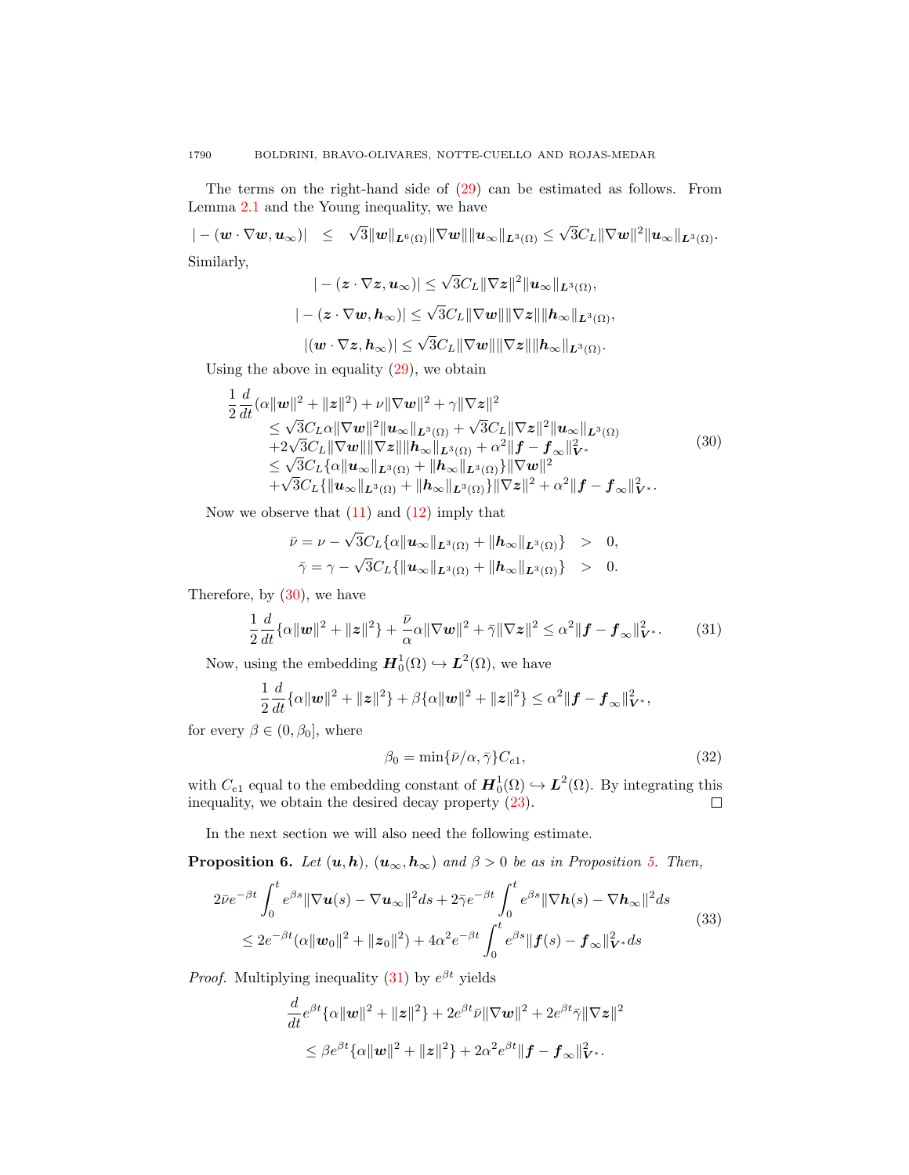The terms on the right-hand side of [\(29\)](#page-6-3) can be estimated as follows. From Lemma [2.1](#page-2-3) and the Young inequality, we have

 $|-(\boldsymbol{w}\cdot\nabla \boldsymbol{w},\boldsymbol{u}_{\infty})|\;\;\leq\;\;\sqrt{3}\|\boldsymbol{w}\|_{\boldsymbol{L}^{6}(\Omega)}\|\nabla \boldsymbol{w}\|\|\boldsymbol{u}_{\infty}\|_{\boldsymbol{L}^{3}(\Omega)}\leq$ √  $\overline{3}C_{L}\|\nabla\bm{w}\|^{2}\|\bm{u}_{\infty}\|_{\bm{L}^{3}(\Omega)}.$ Similarly,

$$
|-(z\cdot \nabla z, u_{\infty})|\leq \sqrt{3}C_L\|\nabla z\|^2\|u_{\infty}\|_{L^3(\Omega)},
$$
  

$$
|-(z\cdot \nabla w, h_{\infty})|\leq \sqrt{3}C_L\|\nabla w\|\|\nabla z\|\|h_{\infty}\|_{L^3(\Omega)},
$$
  

$$
|(\mathbf{w}\cdot \nabla z, h_{\infty})|\leq \sqrt{3}C_L\|\nabla w\|\|\nabla z\|\|h_{\infty}\|_{L^3(\Omega)}.
$$

Using the above in equality  $(29)$ , we obtain

<span id="page-7-0"></span>
$$
\frac{1}{2} \frac{d}{dt} (\alpha ||\mathbf{w}||^{2} + ||\mathbf{z}||^{2}) + \nu ||\nabla \mathbf{w}||^{2} + \gamma ||\nabla \mathbf{z}||^{2} \n\leq \sqrt{3} C_{L} \alpha ||\nabla \mathbf{w}||^{2} ||\mathbf{u}_{\infty}||_{\mathbf{L}^{3}(\Omega)} + \sqrt{3} C_{L} ||\nabla \mathbf{z}||^{2} ||\mathbf{u}_{\infty}||_{\mathbf{L}^{3}(\Omega)} \n+2\sqrt{3} C_{L} ||\nabla \mathbf{w}|| ||\nabla \mathbf{z}|| ||\mathbf{h}_{\infty}||_{\mathbf{L}^{3}(\Omega)} + \alpha^{2} ||\mathbf{f} - \mathbf{f}_{\infty}||_{\mathbf{V}^{*}}^{2} \n\leq \sqrt{3} C_{L} {\alpha ||\mathbf{u}_{\infty}||_{\mathbf{L}^{3}(\Omega)} + ||\mathbf{h}_{\infty}||_{\mathbf{L}^{3}(\Omega)}} ||\nabla \mathbf{w}||^{2} \n+ \sqrt{3} C_{L} {||\mathbf{u}_{\infty}||_{\mathbf{L}^{3}(\Omega)} + ||\mathbf{h}_{\infty}||_{\mathbf{L}^{3}(\Omega)}} ||\nabla \mathbf{z}||^{2} + \alpha^{2} ||\mathbf{f} - \mathbf{f}_{\infty}||_{\mathbf{V}^{*}}^{2}.
$$
\n(30)

Now we observe that  $(11)$  and  $(12)$  imply that

<span id="page-7-1"></span>
$$
\bar{\nu} = \nu - \sqrt{3}C_L \{\alpha \|\boldsymbol{u}_{\infty}\|_{\boldsymbol{L}^3(\Omega)} + \|\boldsymbol{h}_{\infty}\|_{\boldsymbol{L}^3(\Omega)}\} > 0,
$$
  

$$
\bar{\gamma} = \gamma - \sqrt{3}C_L \{\|\boldsymbol{u}_{\infty}\|_{\boldsymbol{L}^3(\Omega)} + \|\boldsymbol{h}_{\infty}\|_{\boldsymbol{L}^3(\Omega)}\} > 0.
$$

Therefore, by [\(30\)](#page-7-0), we have

$$
\frac{1}{2}\frac{d}{dt}\{\alpha\|\mathbf{w}\|^2 + \|\mathbf{z}\|^2\} + \frac{\bar{\nu}}{\alpha}\alpha\|\nabla\mathbf{w}\|^2 + \bar{\gamma}\|\nabla\mathbf{z}\|^2 \leq \alpha^2\|\mathbf{f} - \mathbf{f}_\infty\|^2_{\mathbf{V}^*}.\tag{31}
$$

Now, using the embedding  $\mathbf{H}_0^1(\Omega) \hookrightarrow \mathbf{L}^2(\Omega)$ , we have

$$
\frac{1}{2}\frac{d}{dt}\{\alpha\|\mathbf{w}\|^2 + \|\mathbf{z}\|^2\} + \beta\{\alpha\|\mathbf{w}\|^2 + \|\mathbf{z}\|^2\} \leq \alpha^2\|\mathbf{f} - \mathbf{f}_{\infty}\|_{\mathbf{V}^*}^2,
$$

for every  $\beta \in (0, \beta_0]$ , where

<span id="page-7-3"></span>
$$
\beta_0 = \min\{\bar{\nu}/\alpha, \bar{\gamma}\} C_{e1},\tag{32}
$$

with  $C_{e1}$  equal to the embedding constant of  $\mathbf{H}_0^1(\Omega) \hookrightarrow \mathbf{L}^2(\Omega)$ . By integrating this inequality, we obtain the desired decay property [\(23\)](#page-6-4).  $\Box$ 

In the next section we will also need the following estimate.

**Proposition 6.** Let  $(u, h)$ ,  $(u_{\infty}, h_{\infty})$  and  $\beta > 0$  be as in Proposition [5.](#page-6-5) Then,

<span id="page-7-2"></span>
$$
2\bar{\nu}e^{-\beta t}\int_0^t e^{\beta s} \|\nabla \boldsymbol{u}(s) - \nabla \boldsymbol{u}_{\infty}\|^2 ds + 2\bar{\gamma}e^{-\beta t}\int_0^t e^{\beta s} \|\nabla \boldsymbol{h}(s) - \nabla \boldsymbol{h}_{\infty}\|^2 ds
$$
  
 
$$
\leq 2e^{-\beta t}(\alpha \|\boldsymbol{w}_0\|^2 + \|z_0\|^2) + 4\alpha^2 e^{-\beta t}\int_0^t e^{\beta s} \|\boldsymbol{f}(s) - \boldsymbol{f}_{\infty}\|_{\boldsymbol{V}^*}^2 ds
$$
 (33)

*Proof.* Multiplying inequality [\(31\)](#page-7-1) by  $e^{\beta t}$  yields

$$
\frac{d}{dt}e^{\beta t}\{\alpha\|\mathbf{w}\|^2 + \|\mathbf{z}\|^2\} + 2e^{\beta t}\bar{\nu}\|\nabla\mathbf{w}\|^2 + 2e^{\beta t}\bar{\gamma}\|\nabla\mathbf{z}\|^2
$$
  

$$
\leq \beta e^{\beta t}\{\alpha\|\mathbf{w}\|^2 + \|\mathbf{z}\|^2\} + 2\alpha^2 e^{\beta t}\|\mathbf{f} - \mathbf{f}_{\infty}\|^2_{\mathbf{V}^*}.
$$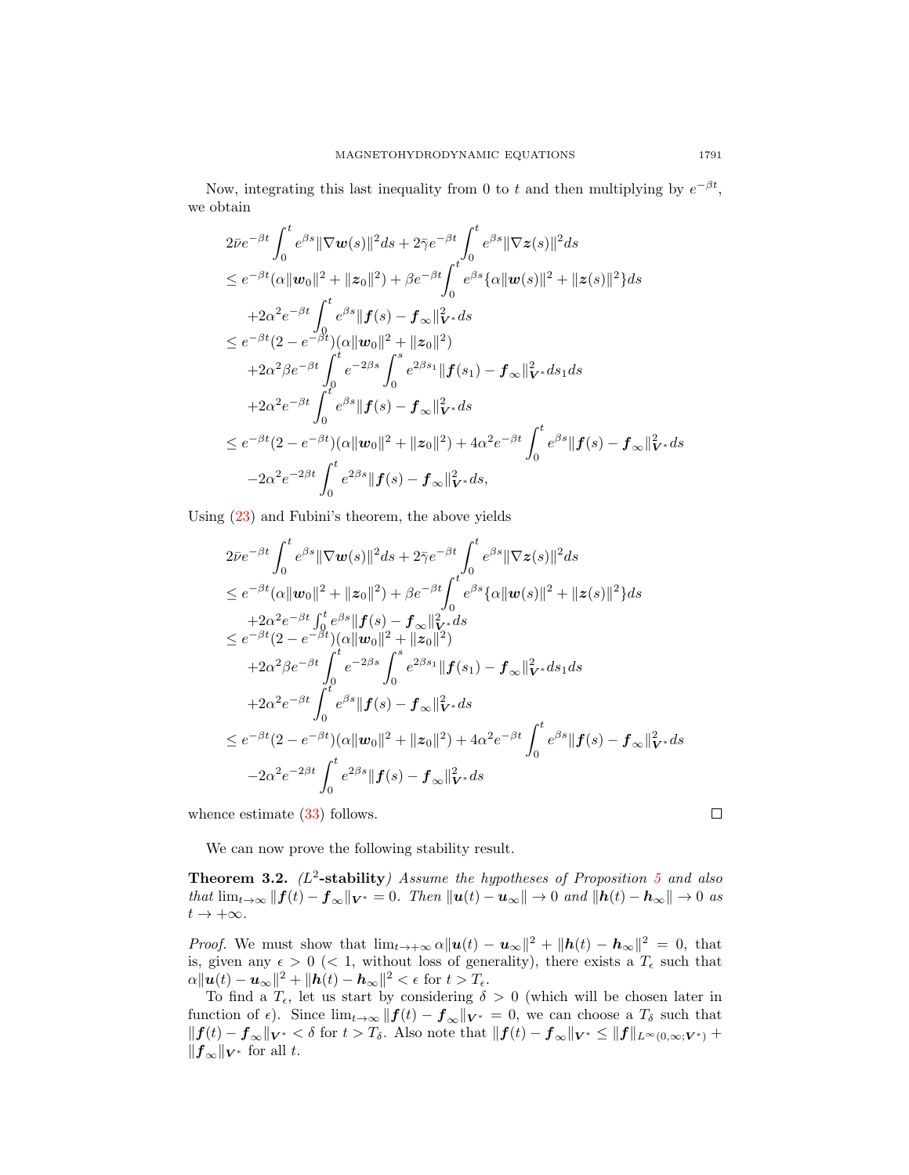Now, integrating this last inequality from 0 to t and then multiplying by  $e^{-\beta t}$ , we obtain

$$
2\bar{\nu}e^{-\beta t}\int_{0}^{t}e^{\beta s}\|\nabla w(s)\|^{2}ds + 2\bar{\gamma}e^{-\beta t}\int_{0}^{t}e^{\beta s}\|\nabla z(s)\|^{2}ds
$$
  
\n
$$
\leq e^{-\beta t}(\alpha\|w_{0}\|^{2} + \|z_{0}\|^{2}) + \beta e^{-\beta t}\int_{0}^{t}e^{\beta s}\{\alpha\|w(s)\|^{2} + \|z(s)\|^{2}\}ds
$$
  
\n
$$
+2\alpha^{2}e^{-\beta t}\int_{0}^{t}e^{\beta s}\|f(s) - f_{\infty}\|_{V^{*}}^{2}ds
$$
  
\n
$$
\leq e^{-\beta t}(2 - e^{-\beta t})(\alpha\|w_{0}\|^{2} + \|z_{0}\|^{2})
$$
  
\n
$$
+2\alpha^{2}\beta e^{-\beta t}\int_{0}^{t}e^{-2\beta s}\int_{0}^{s}e^{2\beta s_{1}}\|f(s_{1}) - f_{\infty}\|_{V^{*}}^{2}ds_{1}ds
$$
  
\n
$$
+2\alpha^{2}e^{-\beta t}\int_{0}^{t}e^{\beta s}\|f(s) - f_{\infty}\|_{V^{*}}^{2}ds
$$
  
\n
$$
\leq e^{-\beta t}(2 - e^{-\beta t})(\alpha\|w_{0}\|^{2} + \|z_{0}\|^{2}) + 4\alpha^{2}e^{-\beta t}\int_{0}^{t}e^{\beta s}\|f(s) - f_{\infty}\|_{V^{*}}^{2}ds
$$
  
\n
$$
-2\alpha^{2}e^{-2\beta t}\int_{0}^{t}e^{2\beta s}\|f(s) - f_{\infty}\|_{V^{*}}^{2}ds,
$$

Using [\(23\)](#page-6-4) and Fubini's theorem, the above yields

$$
2\bar{\nu}e^{-\beta t}\int_{0}^{t} e^{\beta s} \|\nabla w(s)\|^{2} ds + 2\bar{\gamma}e^{-\beta t}\int_{0}^{t} e^{\beta s} \|\nabla z(s)\|^{2} ds
$$
  
\n
$$
\leq e^{-\beta t} (\alpha \|\boldsymbol{w}_{0}\|^{2} + \|\boldsymbol{z}_{0}\|^{2}) + \beta e^{-\beta t}\int_{0}^{t} e^{\beta s} \{\alpha \|\boldsymbol{w}(s)\|^{2} + \|\boldsymbol{z}(s)\|^{2} \} ds
$$
  
\n
$$
+2\alpha^{2}e^{-\beta t}\int_{0}^{t} e^{\beta s} \|\boldsymbol{f}(s) - \boldsymbol{f}_{\infty}\|_{\mathbf{Y}^{*}}^{2} ds
$$
  
\n
$$
\leq e^{-\beta t}(2 - e^{-\beta t})(\alpha \|\boldsymbol{w}_{0}\|^{2} + \|\boldsymbol{z}_{0}\|^{2})
$$
  
\n
$$
+2\alpha^{2} \beta e^{-\beta t}\int_{0}^{t} e^{-2\beta s}\int_{0}^{s} e^{2\beta s_{1}} \|\boldsymbol{f}(s_{1}) - \boldsymbol{f}_{\infty}\|_{\mathbf{Y}^{*}}^{2} ds_{1} ds
$$
  
\n
$$
+2\alpha^{2}e^{-\beta t}\int_{0}^{t} e^{\beta s} \|\boldsymbol{f}(s) - \boldsymbol{f}_{\infty}\|_{\mathbf{Y}^{*}}^{2} ds
$$
  
\n
$$
\leq e^{-\beta t}(2 - e^{-\beta t})(\alpha \|\boldsymbol{w}_{0}\|^{2} + \|\boldsymbol{z}_{0}\|^{2}) + 4\alpha^{2}e^{-\beta t}\int_{0}^{t} e^{\beta s} \|\boldsymbol{f}(s) - \boldsymbol{f}_{\infty}\|_{\mathbf{Y}^{*}}^{2} ds
$$
  
\n
$$
-2\alpha^{2}e^{-2\beta t}\int_{0}^{t} e^{2\beta s} \|\boldsymbol{f}(s) - \boldsymbol{f}_{\infty}\|_{\mathbf{Y}^{*}}^{2} ds
$$

whence estimate  $(33)$  follows.

We can now prove the following stability result.

<span id="page-8-0"></span>**Theorem 3.2.** ( $L^2$ -stability) Assume the hypotheses of Proposition [5](#page-6-5) and also that  $\lim_{t\to\infty} ||f(t) - f_{\infty}||_{V^*} = 0$ . Then  $||u(t) - u_{\infty}|| \to 0$  and  $||h(t) - h_{\infty}|| \to 0$  as  $t\rightarrow +\infty.$ 

*Proof.* We must show that  $\lim_{t\to+\infty} \alpha ||u(t) - u_{\infty}||^2 + ||h(t) - h_{\infty}||^2 = 0$ , that is, given any  $\epsilon > 0$  (< 1, without loss of generality), there exists a  $T_{\epsilon}$  such that  $\alpha \|\boldsymbol{u}(t)-\boldsymbol{u}_{\infty}\|^2 + \|\boldsymbol{h}(t)-\boldsymbol{h}_{\infty}\|^2 < \epsilon \text{ for } t > T_{\epsilon}.$ 

To find a  $T_{\epsilon}$ , let us start by considering  $\delta > 0$  (which will be chosen later in function of  $\epsilon$ ). Since  $\lim_{t\to\infty} ||f(t) - f_{\infty}||_{V^*} = 0$ , we can choose a  $T_\delta$  such that  $|| f(t) - f_{\infty} ||_{V^*} < \delta$  for  $t > T_{\delta}$ . Also note that  $|| f(t) - f_{\infty} ||_{V^*} \le ||f||_{L^{\infty}(0,\infty;V^*)} +$  $||f_\infty||_{V^*}$  for all t.

 $\Box$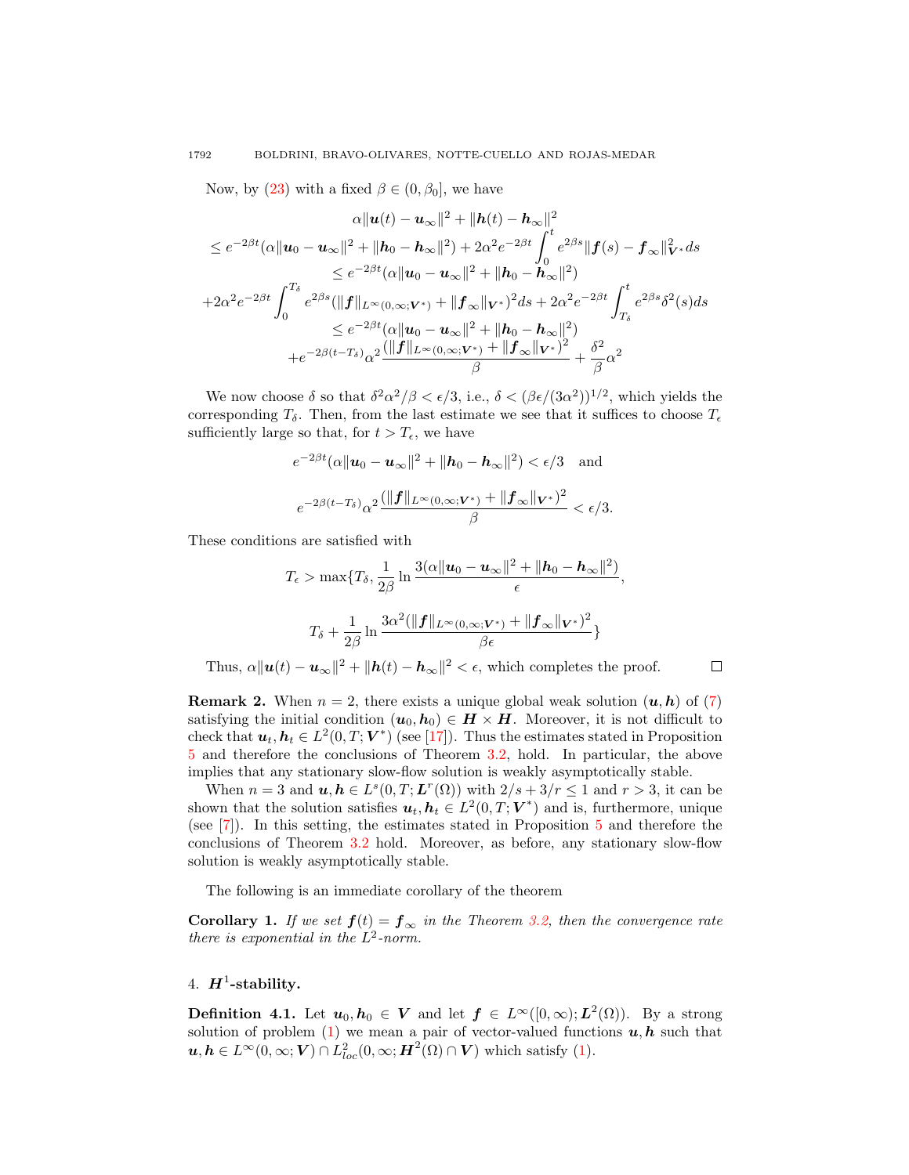Now, by [\(23\)](#page-6-4) with a fixed  $\beta \in (0, \beta_0]$ , we have

$$
\alpha ||\boldsymbol{u}(t) - \boldsymbol{u}_{\infty}||^{2} + ||h(t) - h_{\infty}||^{2}
$$
\n
$$
\leq e^{-2\beta t} (\alpha ||\boldsymbol{u}_{0} - \boldsymbol{u}_{\infty}||^{2} + ||h_{0} - h_{\infty}||^{2}) + 2\alpha^{2} e^{-2\beta t} \int_{0}^{t} e^{2\beta s} ||\boldsymbol{f}(s) - \boldsymbol{f}_{\infty}||_{\boldsymbol{V}^{*}}^{2} ds
$$
\n
$$
\leq e^{-2\beta t} (\alpha ||\boldsymbol{u}_{0} - \boldsymbol{u}_{\infty}||^{2} + ||h_{0} - h_{\infty}||^{2})
$$
\n
$$
+ 2\alpha^{2} e^{-2\beta t} \int_{0}^{T_{\delta}} e^{2\beta s} (||\boldsymbol{f}||_{L^{\infty}(0,\infty;\boldsymbol{V}^{*})} + ||\boldsymbol{f}_{\infty}||_{\boldsymbol{V}^{*}})^{2} ds + 2\alpha^{2} e^{-2\beta t} \int_{T_{\delta}}^{t} e^{2\beta s} \delta^{2}(s) ds
$$
\n
$$
\leq e^{-2\beta t} (\alpha ||\boldsymbol{u}_{0} - \boldsymbol{u}_{\infty}||^{2} + ||h_{0} - h_{\infty}||^{2})
$$
\n
$$
+ e^{-2\beta (t - T_{\delta})} \alpha^{2} \frac{(||\boldsymbol{f}||_{L^{\infty}(0,\infty;\boldsymbol{V}^{*})} + ||\boldsymbol{f}_{\infty}||_{\boldsymbol{V}^{*}})^{2}}{\beta} + \frac{\delta^{2}}{\beta} \alpha^{2}
$$

We now choose  $\delta$  so that  $\delta^2 \alpha^2/\beta < \epsilon/3$ , i.e.,  $\delta < (\beta \epsilon/(3\alpha^2))^{1/2}$ , which yields the corresponding  $T_{\delta}$ . Then, from the last estimate we see that it suffices to choose  $T_{\epsilon}$ sufficiently large so that, for  $t > T_{\epsilon}$ , we have

$$
e^{-2\beta t}(\alpha \|\mathbf{u}_0 - \mathbf{u}_\infty\|^2 + \|\mathbf{h}_0 - \mathbf{h}_\infty\|^2) < \epsilon/3 \quad \text{and}
$$
\n
$$
e^{-2\beta (t - T_\delta)} \alpha^2 \frac{(\|\mathbf{f}\|_{L^\infty(0, \infty; \mathbf{V}^*)} + \|\mathbf{f}_\infty\|_{\mathbf{V}^*})^2}{\beta} < \epsilon/3.
$$

These conditions are satisfied with

$$
T_{\epsilon} > \max\{T_{\delta}, \frac{1}{2\beta}\ln\frac{3(\alpha\|\boldsymbol{u}_0 - \boldsymbol{u}_{\infty}\|^2 + \|\boldsymbol{h}_0 - \boldsymbol{h}_{\infty}\|^2)}{\epsilon},
$$
  

$$
T_{\delta} + \frac{1}{2\beta}\ln\frac{3\alpha^2(\|\boldsymbol{f}\|_{L^{\infty}(0,\infty;\boldsymbol{V^*})} + \|\boldsymbol{f}_{\infty}\|_{\boldsymbol{V^*}})^2}{\beta\epsilon} \}
$$

 $\Box$ 

Thus,  $\alpha ||u(t) - u_{\infty}||^2 + ||h(t) - h_{\infty}||^2 < \epsilon$ , which completes the proof.

**Remark 2.** When  $n = 2$ , there exists a unique global weak solution  $(u, h)$  of  $(7)$ satisfying the initial condition  $(u_0, h_0) \in H \times H$ . Moreover, it is not difficult to check that  $u_t, h_t \in L^2(0,T; V^*)$  (see [\[17\]](#page-17-7)). Thus the estimates stated in Proposition [5](#page-6-5) and therefore the conclusions of Theorem [3.2,](#page-8-0) hold. In particular, the above implies that any stationary slow-flow solution is weakly asymptotically stable.

When  $n=3$  and  $u, h \in L^{s}(0,T; L^{r}(\Omega))$  with  $2/s+3/r \leq 1$  and  $r > 3$ , it can be shown that the solution satisfies  $u_t, h_t \in L^2(0,T;V^*)$  and is, furthermore, unique (see [\[7\]](#page-17-6)). In this setting, the estimates stated in Proposition [5](#page-6-5) and therefore the conclusions of Theorem [3.2](#page-8-0) hold. Moreover, as before, any stationary slow-flow solution is weakly asymptotically stable.

The following is an immediate corollary of the theorem

**Corollary 1.** If we set  $f(t) = f_{\infty}$  in the Theorem [3.2,](#page-8-0) then the convergence rate there is exponential in the  $L^2$ -norm.

# 4.  $H^1$ -stability.

**Definition 4.1.** Let  $u_0, h_0 \in V$  and let  $f \in L^{\infty}([0, \infty); L^2(\Omega))$ . By a strong solution of problem  $(1)$  we mean a pair of vector-valued functions  $u, h$  such that  $u, h \in L^{\infty}(0, \infty; V) \cap L^{2}_{loc}(0, \infty; \mathbf{H}^{2}(\Omega) \cap V)$  which satisfy [\(1\)](#page-0-0).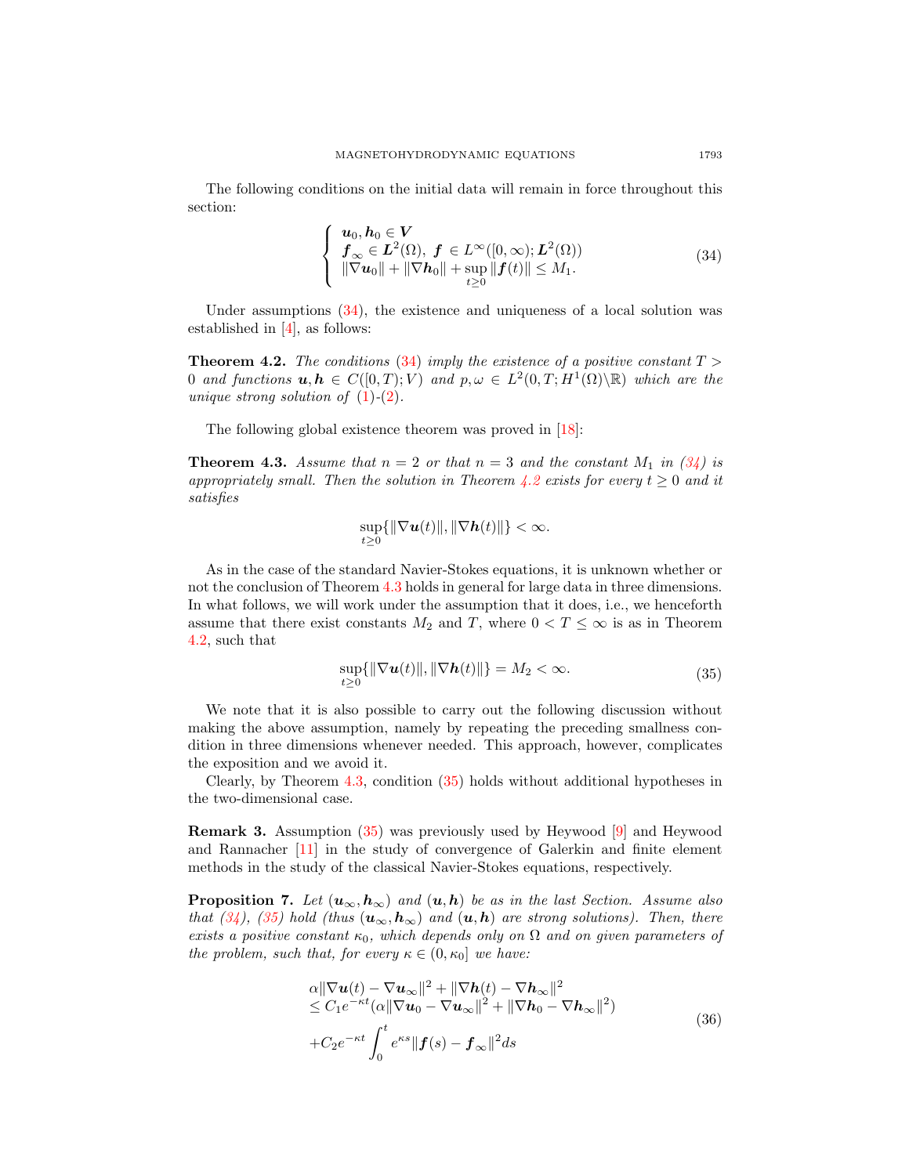The following conditions on the initial data will remain in force throughout this section:

<span id="page-10-0"></span>
$$
\begin{cases}\n\mathbf{u}_0, \mathbf{h}_0 \in \mathbf{V} \\
\mathbf{f}_{\infty} \in \mathbf{L}^2(\Omega), \ \mathbf{f} \in L^{\infty}([0, \infty); \mathbf{L}^2(\Omega)) \\
\|\nabla \mathbf{u}_0\| + \|\nabla \mathbf{h}_0\| + \sup_{t \ge 0} \|\mathbf{f}(t)\| \le M_1.\n\end{cases}
$$
\n(34)

Under assumptions [\(34\)](#page-10-0), the existence and uniqueness of a local solution was established in [\[4\]](#page-17-16), as follows:

<span id="page-10-1"></span>**Theorem 4.2.** The conditions [\(34\)](#page-10-0) imply the existence of a positive constant  $T >$ 0 and functions  $u, h \in C([0,T); V)$  and  $p, \omega \in L^2(0,T; H^1(\Omega) \backslash \mathbb{R})$  which are the unique strong solution of  $(1)-(2)$  $(1)-(2)$  $(1)-(2)$ .

The following global existence theorem was proved in [\[18\]](#page-17-8):

<span id="page-10-2"></span>**Theorem 4.3.** Assume that  $n = 2$  or that  $n = 3$  and the constant  $M_1$  in [\(34\)](#page-10-0) is appropriately small. Then the solution in Theorem [4.2](#page-10-1) exists for every  $t \geq 0$  and it satisfies

$$
\sup_{t\geq 0} \{\|\nabla \boldsymbol{u}(t)\|, \|\nabla \boldsymbol{h}(t)\|\} < \infty.
$$

As in the case of the standard Navier-Stokes equations, it is unknown whether or not the conclusion of Theorem [4.3](#page-10-2) holds in general for large data in three dimensions. In what follows, we will work under the assumption that it does, i.e., we henceforth assume that there exist constants  $M_2$  and T, where  $0 < T \leq \infty$  is as in Theorem [4.2,](#page-10-1) such that

<span id="page-10-3"></span>
$$
\sup_{t\geq 0} {\{\|\nabla \bm{u}(t)\|, \|\nabla \bm{h}(t)\|\}} = M_2 < \infty. \tag{35}
$$

We note that it is also possible to carry out the following discussion without making the above assumption, namely by repeating the preceding smallness condition in three dimensions whenever needed. This approach, however, complicates the exposition and we avoid it.

Clearly, by Theorem [4.3,](#page-10-2) condition [\(35\)](#page-10-3) holds without additional hypotheses in the two-dimensional case.

Remark 3. Assumption [\(35\)](#page-10-3) was previously used by Heywood [\[9\]](#page-17-17) and Heywood and Rannacher [\[11\]](#page-17-10) in the study of convergence of Galerkin and finite element methods in the study of the classical Navier-Stokes equations, respectively.

<span id="page-10-5"></span>**Proposition 7.** Let  $(u_{\infty}, h_{\infty})$  and  $(u, h)$  be as in the last Section. Assume also that [\(34\)](#page-10-0), [\(35\)](#page-10-3) hold (thus  $(\mathbf{u}_{\infty}, \mathbf{h}_{\infty})$  and  $(\mathbf{u}, \mathbf{h})$  are strong solutions). Then, there exists a positive constant  $\kappa_0$ , which depends only on  $\Omega$  and on given parameters of the problem, such that, for every  $\kappa \in (0, \kappa_0]$  we have:

<span id="page-10-4"></span>
$$
\alpha \|\nabla \mathbf{u}(t) - \nabla \mathbf{u}_{\infty}\|^2 + \|\nabla \mathbf{h}(t) - \nabla \mathbf{h}_{\infty}\|^2 \n\leq C_1 e^{-\kappa t} (\alpha \|\nabla \mathbf{u}_0 - \nabla \mathbf{u}_{\infty}\|^2 + \|\nabla \mathbf{h}_0 - \nabla \mathbf{h}_{\infty}\|^2) \n+ C_2 e^{-\kappa t} \int_0^t e^{\kappa s} \|\mathbf{f}(s) - \mathbf{f}_{\infty}\|^2 ds
$$
\n(36)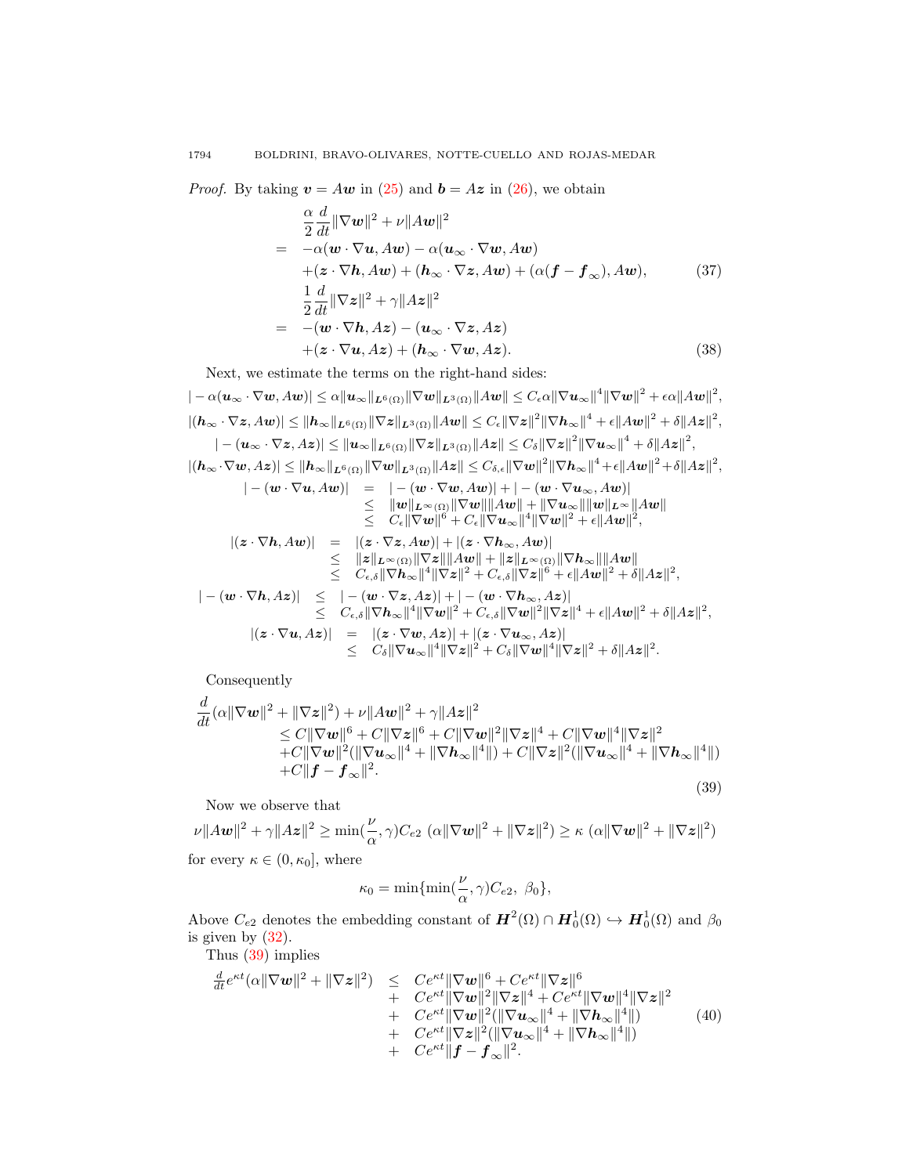*Proof.* By taking  $v = Aw$  in [\(25\)](#page-6-0) and  $b = Az$  in [\(26\)](#page-6-0), we obtain

$$
\frac{\alpha}{2} \frac{d}{dt} ||\nabla w||^2 + \nu ||Aw||^2
$$
\n
$$
= -\alpha(\mathbf{w} \cdot \nabla \mathbf{u}, Aw) - \alpha(\mathbf{u}_{\infty} \cdot \nabla \mathbf{w}, Aw)
$$
\n
$$
+ (\mathbf{z} \cdot \nabla \mathbf{h}, Aw) + (\mathbf{h}_{\infty} \cdot \nabla \mathbf{z}, Aw) + (\alpha(\mathbf{f} - \mathbf{f}_{\infty}), Aw), \qquad (37)
$$
\n
$$
\frac{1}{2} \frac{d}{dt} ||\nabla \mathbf{z}||^2 + \gamma ||Az||^2
$$
\n
$$
= -(\mathbf{w} \cdot \nabla \mathbf{h}, Az) - (\mathbf{u}_{\infty} \cdot \nabla \mathbf{z}, Az)
$$
\n
$$
+ (\mathbf{z} \cdot \nabla \mathbf{u}, Az) + (\mathbf{h}_{\infty} \cdot \nabla \mathbf{w}, Az). \qquad (38)
$$

Next, we estimate the terms on the right-hand sides:

$$
\vert -\alpha (\boldsymbol{u}_\infty\cdot \nabla \boldsymbol{w},A\boldsymbol{w})\vert \leq \alpha \Vert \boldsymbol{u}_\infty\Vert_{\boldsymbol{L}^6(\Omega)} \Vert \nabla \boldsymbol{w}\Vert_{\boldsymbol{L}^3(\Omega)} \Vert A\boldsymbol{w}\Vert \leq C_\epsilon \alpha \Vert \nabla \boldsymbol{u}_\infty\Vert^4 \Vert \nabla \boldsymbol{w}\Vert^2 + \epsilon \alpha \Vert A\boldsymbol{w}\Vert^2,
$$
\n
$$
\vert (\boldsymbol{h}_\infty\cdot \nabla \boldsymbol{z},A\boldsymbol{w})\vert \leq \Vert \boldsymbol{h}_\infty\Vert_{\boldsymbol{L}^6(\Omega)} \Vert \nabla \boldsymbol{z}\Vert_{\boldsymbol{L}^3(\Omega)} \Vert A\boldsymbol{w}\Vert \leq C_\epsilon \Vert \nabla \boldsymbol{z}\Vert^2 \Vert \nabla \boldsymbol{h}_\infty\Vert^4 + \epsilon \Vert A\boldsymbol{w}\Vert^2 + \delta \Vert A\boldsymbol{z}\Vert^2,
$$
\n
$$
\vert -(\boldsymbol{u}_\infty\cdot \nabla \boldsymbol{z},A\boldsymbol{z})\vert \leq \Vert \boldsymbol{u}_\infty\Vert_{\boldsymbol{L}^6(\Omega)} \Vert \nabla \boldsymbol{z}\Vert_{\boldsymbol{L}^3(\Omega)} \Vert A\boldsymbol{z}\Vert \leq C_\delta \Vert \nabla \boldsymbol{z}\Vert^2 \Vert \nabla \boldsymbol{u}_\infty\Vert^4 + \delta \Vert A\boldsymbol{z}\Vert^2,
$$
\n
$$
\vert (\boldsymbol{h}_\infty\cdot \nabla \boldsymbol{w},A\boldsymbol{z})\vert \leq \Vert \boldsymbol{h}_\infty\Vert_{\boldsymbol{L}^6(\Omega)} \Vert \nabla \boldsymbol{w}\Vert_{\boldsymbol{L}^3(\Omega)} \Vert A\boldsymbol{z}\Vert \leq C_{\delta,\epsilon} \Vert \nabla \boldsymbol{w}\Vert^2 \Vert \nabla \boldsymbol{h}_\infty\Vert^4 + \epsilon \Vert A\boldsymbol{w}\Vert^2 + \delta \Vert A\boldsymbol{z}\Vert^2,
$$

$$
\begin{array}{rcl} |-(\pmb{w}\cdot\nabla\pmb{u},A\pmb{w})|&=&|-(\pmb{w}\cdot\nabla\pmb{w},A\pmb{w})|+|-(\pmb{w}\cdot\nabla\pmb{u}_{\infty},A\pmb{w})|\\ &\leq& \|\pmb{w}\|_{L^{\infty}(\Omega)}\|\nabla\pmb{w}\|\|A\pmb{w}\|+\|\nabla\pmb{u}_{\infty}\|\|\pmb{w}\|_{L^{\infty}}\|A\pmb{w}\|\\ &\leq& C_{\epsilon}\|\nabla\pmb{w}\|^{6}+C_{\epsilon}\|\nabla\pmb{u}_{\infty}\|^{4}\|\nabla\pmb{w}\|^{2}+\epsilon\|A\pmb{w}\|^{2},\\ |(\pmb{z}\cdot\nabla\pmb{h},A\pmb{w})|&=&|(\pmb{z}\cdot\nabla\pmb{z},A\pmb{w})|+|(\pmb{z}\cdot\nabla\pmb{h}_{\infty},A\pmb{w})|\\ &\leq& \|\pmb{z}\|_{L^{\infty}(\Omega)}\|\nabla\pmb{z}\|\|A\pmb{w}\|+\|\pmb{z}\|_{L^{\infty}(\Omega)}\|\nabla\pmb{h}_{\infty}\|\|A\pmb{w}\|\\ &\leq& C_{\epsilon,\delta}\|\nabla\pmb{h}_{\infty}\|^{4}\|\nabla\pmb{z}\|^{2}+C_{\epsilon,\delta}\|\nabla\pmb{z}\|^{6}+\epsilon\|A\pmb{w}\|^{2}+\delta\|A\pmb{z}\|^{2},\\ |-(\pmb{w}\cdot\nabla\pmb{h},A\pmb{z})|\leq& |-(\pmb{w}\cdot\nabla\pmb{z},A\pmb{z})|+|-(\pmb{w}\cdot\nabla\pmb{h}_{\infty},A\pmb{z})|\\ &\leq& C_{\epsilon,\delta}\|\nabla\pmb{h}_{\infty}\|^{4}\|\nabla\pmb{w}\|^{2}+C_{\epsilon,\delta}\|\nabla\pmb{w}\|^{2}\|\nabla\pmb{z}\|^{4}+\epsilon\|A\pmb{w}\|^{2}+\delta\|A\pmb{z}\|^{2},\\ |(\pmb{z}\cdot\nabla\pmb{u},A\pmb{z})|\leq& C_{\delta}\|\nabla
$$

Consequently

<span id="page-11-0"></span>
$$
\frac{d}{dt}(\alpha\|\nabla w\|^2 + \|\nabla z\|^2) + \nu\|Aw\|^2 + \gamma\|Az\|^2
$$
\n
$$
\leq C\|\nabla w\|^6 + C\|\nabla z\|^6 + C\|\nabla w\|^2 \|\nabla z\|^4 + C\|\nabla w\|^4 \|\nabla z\|^2
$$
\n
$$
+ C\|\nabla w\|^2 (\|\nabla u_\infty\|^4 + \|\nabla h_\infty\|^4 \|) + C\|\nabla z\|^2 (\|\nabla u_\infty\|^4 + \|\nabla h_\infty\|^4 \|)
$$
\n
$$
+ C\|f - f_\infty\|^2. \tag{39}
$$

Now we observe that

 $\nu \|A\mathbf{w}\|^2 + \gamma \|A\mathbf{z}\|^2 \ge \min(\frac{\nu}{\alpha}, \gamma)C_{e2} (\alpha \|\nabla \mathbf{w}\|^2 + \|\nabla \mathbf{z}\|^2) \ge \kappa (\alpha \|\nabla \mathbf{w}\|^2 + \|\nabla \mathbf{z}\|^2)$ for every  $\kappa \in (0, \kappa_0]$ , where

$$
\kappa_0 = \min\{\min(\frac{\nu}{\alpha}, \gamma)C_{e2}, \ \beta_0\},\
$$

Above  $C_{e2}$  denotes the embedding constant of  $\mathbf{H}^2(\Omega) \cap \mathbf{H}_0^1(\Omega) \hookrightarrow \mathbf{H}_0^1(\Omega)$  and  $\beta_0$ is given by [\(32\)](#page-7-3).

Thus [\(39\)](#page-11-0) implies

<span id="page-11-1"></span>
$$
\frac{d}{dt}e^{\kappa t}(\alpha\|\nabla w\|^2 + \|\nabla z\|^2) \leq C e^{\kappa t} \|\nabla w\|^6 + C e^{\kappa t} \|\nabla z\|^6 \n+ C e^{\kappa t} \|\nabla w\|^2 \|\nabla z\|^4 + C e^{\kappa t} \|\nabla w\|^4 \|\nabla z\|^2 \n+ C e^{\kappa t} \|\nabla w\|^2 (\|\nabla u_\infty\|^4 + \|\nabla h_\infty\|^4)) \n+ C e^{\kappa t} \|\nabla z\|^2 (\|\nabla u_\infty\|^4 + \|\nabla h_\infty\|^4)) \n+ C e^{\kappa t} \|f - f_\infty\|^2.
$$
\n(40)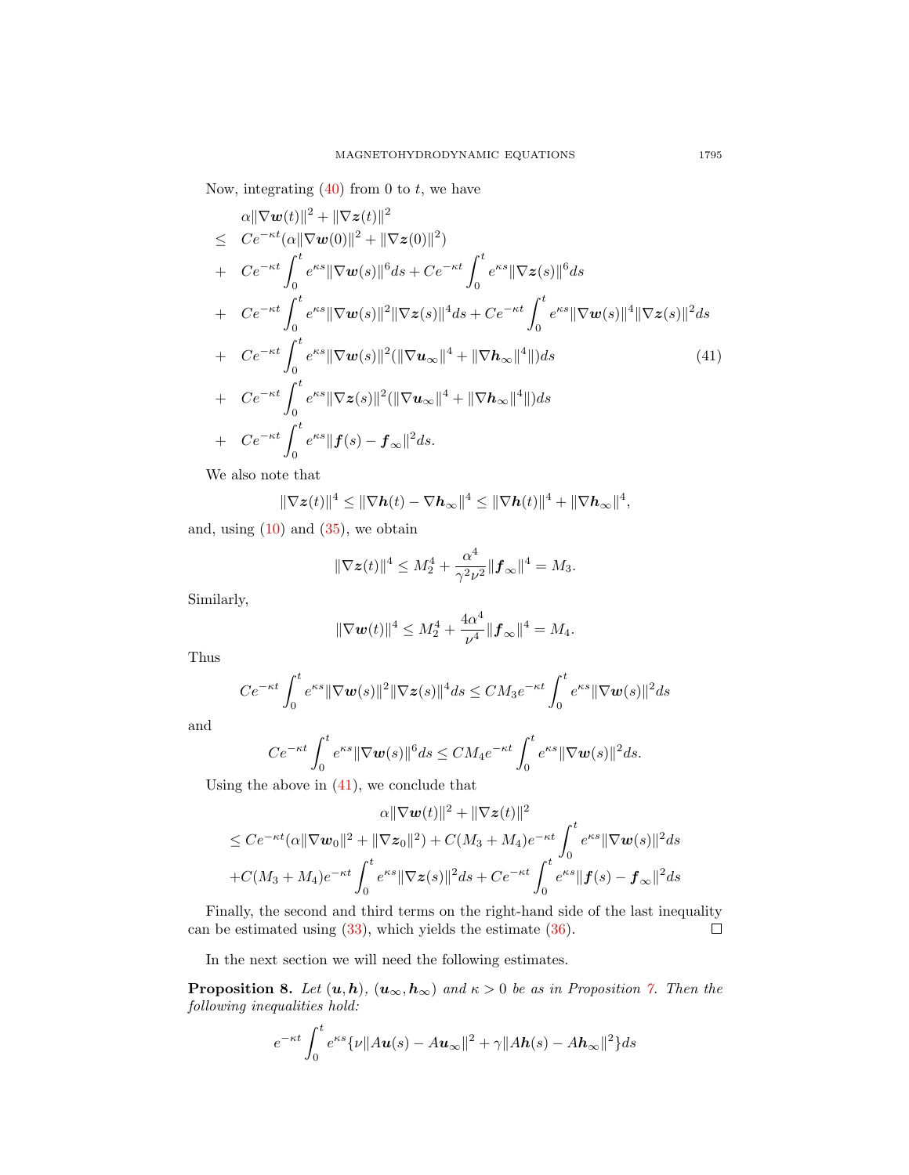Now, integrating  $(40)$  from 0 to t, we have

<span id="page-12-0"></span>
$$
\alpha \|\nabla \mathbf{w}(t)\|^2 + \|\nabla z(t)\|^2 \n\leq C e^{-\kappa t} (\alpha \|\nabla \mathbf{w}(0)\|^2 + \|\nabla z(0)\|^2) \n+ C e^{-\kappa t} \int_0^t e^{\kappa s} \|\nabla \mathbf{w}(s)\|^6 ds + C e^{-\kappa t} \int_0^t e^{\kappa s} \|\nabla z(s)\|^6 ds \n+ C e^{-\kappa t} \int_0^t e^{\kappa s} \|\nabla \mathbf{w}(s)\|^2 \|\nabla z(s)\|^4 ds + C e^{-\kappa t} \int_0^t e^{\kappa s} \|\nabla \mathbf{w}(s)\|^4 \|\nabla z(s)\|^2 ds \n+ C e^{-\kappa t} \int_0^t e^{\kappa s} \|\nabla \mathbf{w}(s)\|^2 (\|\nabla \mathbf{u}_{\infty}\|^4 + \|\nabla \mathbf{h}_{\infty}\|^4 \|) ds \n+ C e^{-\kappa t} \int_0^t e^{\kappa s} \|\nabla z(s)\|^2 (\|\nabla \mathbf{u}_{\infty}\|^4 + \|\nabla \mathbf{h}_{\infty}\|^4 \|) ds \n+ C e^{-\kappa t} \int_0^t e^{\kappa s} \|f(s) - f_{\infty}\|^2 ds.
$$
\n(41)

We also note that

$$
\|\nabla \mathbf{z}(t)\|^4 \leq \|\nabla \mathbf{h}(t) - \nabla \mathbf{h}_{\infty}\|^4 \leq \|\nabla \mathbf{h}(t)\|^4 + \|\nabla \mathbf{h}_{\infty}\|^4,
$$

and, using  $(10)$  and  $(35)$ , we obtain

$$
\|\nabla \mathbf{z}(t)\|^4 \le M_2^4 + \frac{\alpha^4}{\gamma^2 \nu^2} \|\mathbf{f}_{\infty}\|^4 = M_3.
$$

Similarly,

$$
\|\nabla \boldsymbol{w}(t)\|^4 \leq M_2^4 + \frac{4\alpha^4}{\nu^4} \|\boldsymbol{f}_{\infty}\|^4 = M_4.
$$

Thus

$$
Ce^{-\kappa t} \int_0^t e^{\kappa s} \|\nabla \boldsymbol{w}(s)\|^2 \|\nabla \boldsymbol{z}(s)\|^4 ds \leq CM_3 e^{-\kappa t} \int_0^t e^{\kappa s} \|\nabla \boldsymbol{w}(s)\|^2 ds
$$

and

$$
Ce^{-\kappa t} \int_0^t e^{\kappa s} \|\nabla \mathbf{w}(s)\|^6 ds \leq CM_4 e^{-\kappa t} \int_0^t e^{\kappa s} \|\nabla \mathbf{w}(s)\|^2 ds.
$$

Using the above in  $(41)$ , we conclude that

$$
\alpha \|\nabla \mathbf{w}(t)\|^2 + \|\nabla \mathbf{z}(t)\|^2
$$
  
\n
$$
\leq C e^{-\kappa t} (\alpha \|\nabla \mathbf{w}_0\|^2 + \|\nabla \mathbf{z}_0\|^2) + C(M_3 + M_4) e^{-\kappa t} \int_0^t e^{\kappa s} \|\nabla \mathbf{w}(s)\|^2 ds
$$
  
\n
$$
+ C(M_3 + M_4) e^{-\kappa t} \int_0^t e^{\kappa s} \|\nabla \mathbf{z}(s)\|^2 ds + C e^{-\kappa t} \int_0^t e^{\kappa s} \|f(s) - f_\infty\|^2 ds
$$

Finally, the second and third terms on the right-hand side of the last inequality can be estimated using [\(33\)](#page-7-2), which yields the estimate [\(36\)](#page-10-4).  $\Box$ 

In the next section we will need the following estimates.

**Proposition 8.** Let  $(u, h)$ ,  $(u_{\infty}, h_{\infty})$  and  $\kappa > 0$  be as in Proposition [7.](#page-10-5) Then the following inequalities hold:

$$
e^{-\kappa t} \int_0^t e^{\kappa s} {\{\nu \|A\mathbf{u}(s) - A\mathbf{u}_\infty\|^2 + \gamma \|A\mathbf{h}(s) - A\mathbf{h}_\infty\|^2\} } ds
$$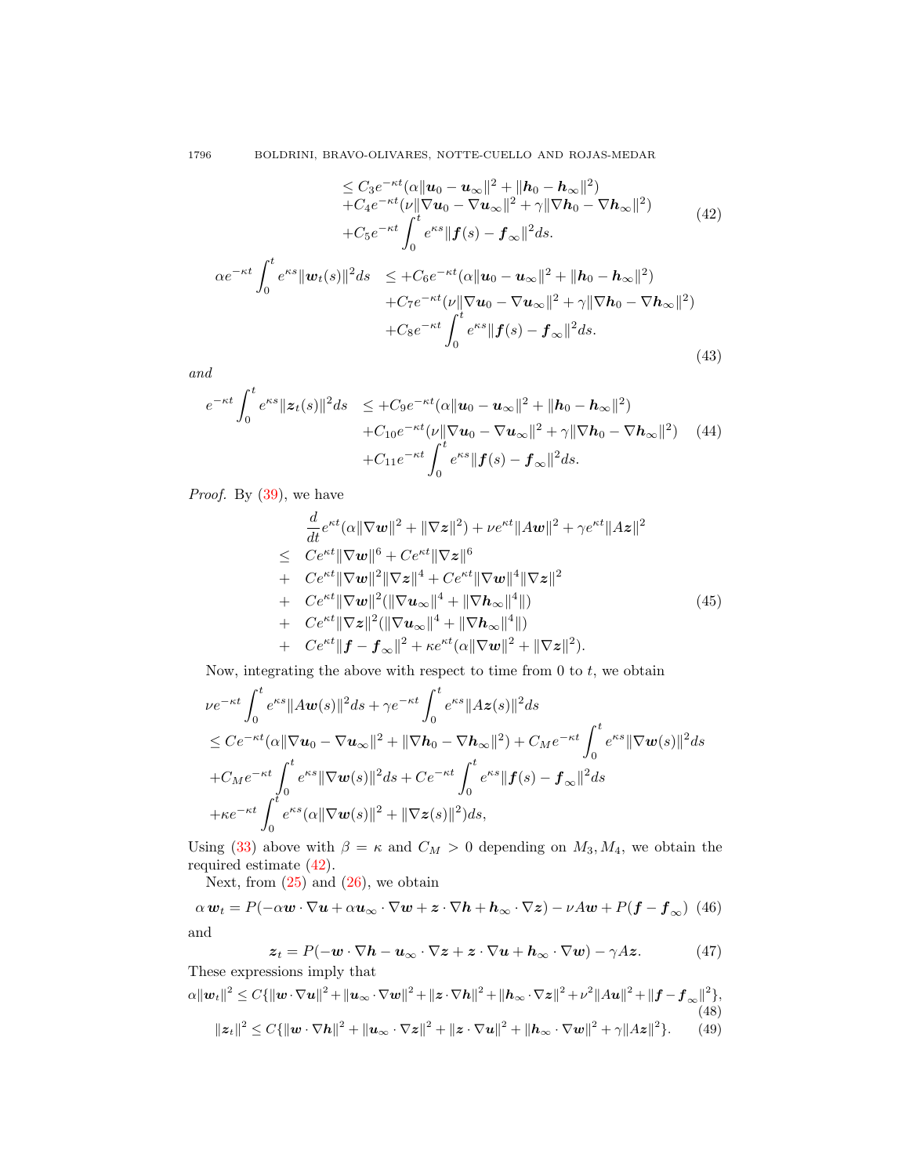<span id="page-13-0"></span>
$$
\leq C_3 e^{-\kappa t} (\alpha \|u_0 - u_\infty\|^2 + \|h_0 - h_\infty\|^2) + C_4 e^{-\kappa t} (\nu \| \nabla u_0 - \nabla u_\infty\|^2 + \gamma \| \nabla h_0 - \nabla h_\infty\|^2) + C_5 e^{-\kappa t} \int_0^t e^{\kappa s} \|f(s) - f_\infty\|^2 ds.
$$
\n
$$
\alpha e^{-\kappa t} \int_0^t e^{\kappa s} \|u_t(s)\|^2 ds \leq + C_6 e^{-\kappa t} (\alpha \|u_0 - u_\infty\|^2 + \|h_0 - h_\infty\|^2) + C_7 e^{-\kappa t} (\nu \| \nabla u_0 - \nabla u_\infty\|^2 + \gamma \| \nabla h_0 - \nabla h_\infty\|^2) + C_8 e^{-\kappa t} \int_0^t e^{\kappa s} \|f(s) - f_\infty\|^2 ds.
$$
\n(43)

<span id="page-13-3"></span>and

<span id="page-13-4"></span>
$$
e^{-\kappa t} \int_0^t e^{\kappa s} \|z_t(s)\|^2 ds \leq +C_9 e^{-\kappa t} (\alpha \|u_0 - u_\infty\|^2 + \|h_0 - h_\infty\|^2) + C_{10} e^{-\kappa t} (\nu \|\nabla u_0 - \nabla u_\infty\|^2 + \gamma \|\nabla h_0 - \nabla h_\infty\|^2) \quad (44) + C_{11} e^{-\kappa t} \int_0^t e^{\kappa s} \|f(s) - f_\infty\|^2 ds.
$$

Proof. By [\(39\)](#page-11-0), we have

$$
\frac{d}{dt}e^{\kappa t}(\alpha\|\nabla w\|^2 + \|\nabla z\|^2) + \nu e^{\kappa t} \|Aw\|^2 + \gamma e^{\kappa t} \|Az\|^2 \n\leq C e^{\kappa t} \|\nabla w\|^6 + C e^{\kappa t} \|\nabla z\|^6 \n+ C e^{\kappa t} \|\nabla w\|^2 \|\nabla z\|^4 + C e^{\kappa t} \|\nabla w\|^4 \|\nabla z\|^2 \n+ C e^{\kappa t} \|\nabla w\|^2 (\|\nabla u_\infty\|^4 + \|\nabla h_\infty\|^4)) \n+ C e^{\kappa t} \|\nabla z\|^2 (\|\nabla u_\infty\|^4 + \|\nabla h_\infty\|^4)) \n+ C e^{\kappa t} \|f - f_\infty\|^2 + \kappa e^{\kappa t} (\alpha\|\nabla w\|^2 + \|\nabla z\|^2).
$$
\n(45)

Now, integrating the above with respect to time from  $0$  to  $t$ , we obtain

$$
\nu e^{-\kappa t} \int_0^t e^{\kappa s} \|A\mathbf{w}(s)\|^2 ds + \gamma e^{-\kappa t} \int_0^t e^{\kappa s} \|A\mathbf{z}(s)\|^2 ds \n\leq C e^{-\kappa t} (\alpha \|\nabla \mathbf{u}_0 - \nabla \mathbf{u}_\infty\|^2 + \|\nabla \mathbf{h}_0 - \nabla \mathbf{h}_\infty\|^2) + C_M e^{-\kappa t} \int_0^t e^{\kappa s} \|\nabla \mathbf{w}(s)\|^2 ds \n+ C_M e^{-\kappa t} \int_0^t e^{\kappa s} \|\nabla \mathbf{w}(s)\|^2 ds + C e^{-\kappa t} \int_0^t e^{\kappa s} \|f(s) - f_\infty\|^2 ds \n+ \kappa e^{-\kappa t} \int_0^t e^{\kappa s} (\alpha \|\nabla \mathbf{w}(s)\|^2 + \|\nabla \mathbf{z}(s)\|^2) ds,
$$

Using [\(33\)](#page-7-2) above with  $\beta = \kappa$  and  $C_M > 0$  depending on  $M_3, M_4$ , we obtain the required estimate [\(42\)](#page-13-0).

Next, from  $(25)$  and  $(26)$ , we obtain

<span id="page-13-5"></span> $\alpha w_t = P(-\alpha w\cdot \nabla u + \alpha u_\infty\cdot \nabla w + z\cdot \nabla h + h_\infty\cdot \nabla z) - \nu A w + P(f - f_\infty) \tag{46}$ and

<span id="page-13-6"></span>
$$
z_t = P(-w \cdot \nabla h - u_{\infty} \cdot \nabla z + z \cdot \nabla u + h_{\infty} \cdot \nabla w) - \gamma Az. \tag{47}
$$

<span id="page-13-2"></span><span id="page-13-1"></span>These expressions imply that  $\alpha \|\boldsymbol{w}_t\|^2 \leq C \{ \|\boldsymbol{w}\cdot\nabla \boldsymbol{u}\|^2 +\|\boldsymbol{u}_\infty\cdot\nabla \boldsymbol{w}\|^2 +\|\boldsymbol{z}\cdot\nabla \boldsymbol{h}\|^2 +\|\boldsymbol{h}_\infty\cdot\nabla \boldsymbol{z}\|^2 +\nu^2\|A\boldsymbol{u}\|^2 +\|\boldsymbol{f}-\boldsymbol{f}_\infty\|^2 \},$ (48)  $||z_t||^2 \leq C\{||\boldsymbol{w}\cdot\nabla\boldsymbol{h}||^2 + ||\boldsymbol{u}_{\infty}\cdot\nabla\boldsymbol{z}||^2 + ||\boldsymbol{z}\cdot\nabla\boldsymbol{u}||^2 + ||\boldsymbol{h}_{\infty}\cdot\nabla\boldsymbol{w}||^2 + \gamma ||\boldsymbol{A}\boldsymbol{z}||^2\}.$  (49)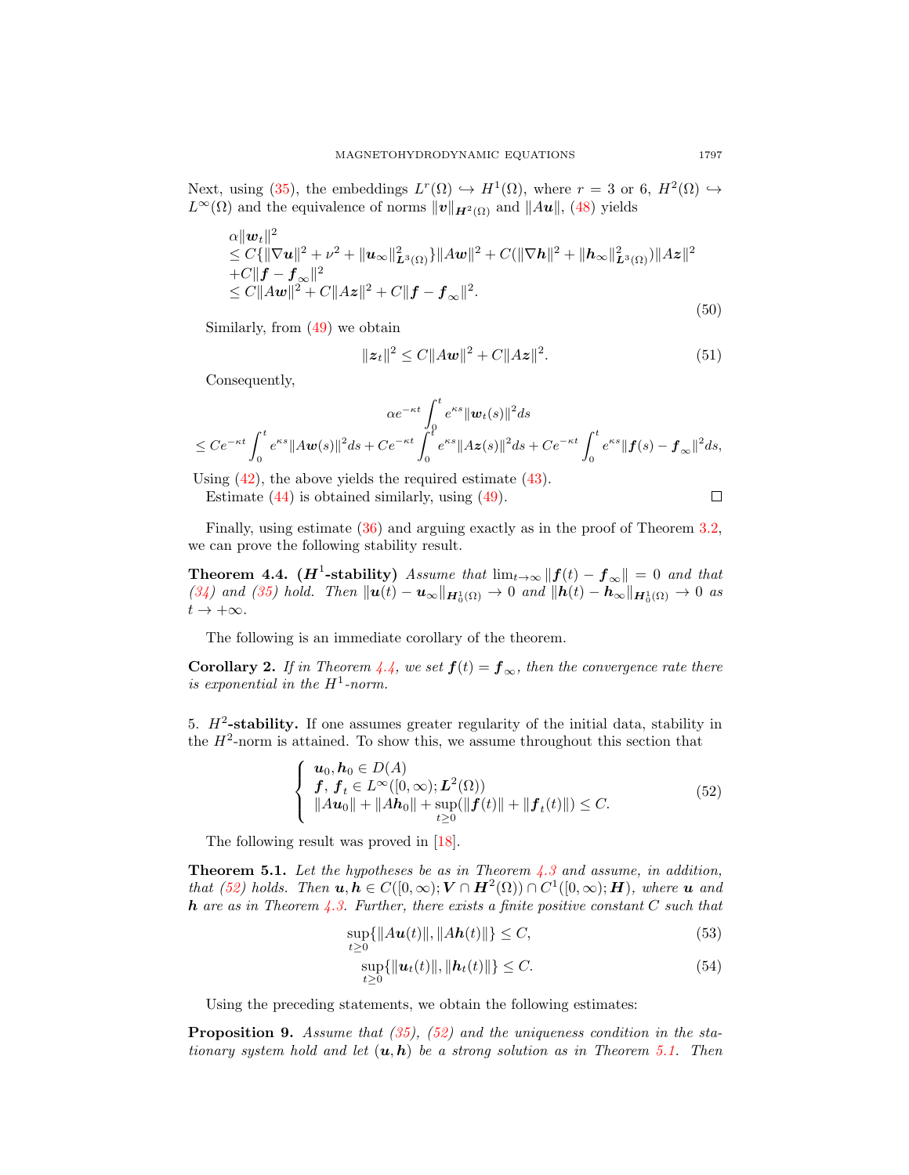Next, using [\(35\)](#page-10-3), the embeddings  $L^r(\Omega) \hookrightarrow H^1(\Omega)$ , where  $r = 3$  or 6,  $H^2(\Omega) \hookrightarrow$  $L^{\infty}(\Omega)$  and the equivalence of norms  $||v||_{H^2(\Omega)}$  and  $||Au||$ , [\(48\)](#page-13-1) yields

<span id="page-14-3"></span>
$$
\alpha ||\mathbf{w}_t||^2 \leq C\{ ||\nabla \mathbf{u}||^2 + \nu^2 + ||\mathbf{u}_\infty||_{\mathbf{L}^3(\Omega)}^2 \} ||A\mathbf{w}||^2 + C(||\nabla \mathbf{h}||^2 + ||\mathbf{h}_\infty||_{\mathbf{L}^3(\Omega)}^2) ||A\mathbf{z}||^2
$$
  
+
$$
C||\mathbf{f} - \mathbf{f}_\infty||^2
$$
  
\$\leq C ||A\mathbf{w}||^2 + C ||A\mathbf{z}||^2 + C ||\mathbf{f} - \mathbf{f}\_\infty||^2. \tag{50}

Similarly, from [\(49\)](#page-13-2) we obtain

<span id="page-14-4"></span>
$$
||z_t||^2 \le C||Aw||^2 + C||Az||^2.
$$
 (51)

Consequently,

$$
\alpha e^{-\kappa t} \int_0^t e^{\kappa s} ||\mathbf{w}_t(s)||^2 ds \leq Ce^{-\kappa t} \int_0^t e^{\kappa s} ||A\mathbf{w}(s)||^2 ds + Ce^{-\kappa t} \int_0^t e^{\kappa s} ||A\mathbf{z}(s)||^2 ds + Ce^{-\kappa t} \int_0^t e^{\kappa s} ||\mathbf{f}(s) - \mathbf{f}_{\infty}||^2 ds,
$$

Using [\(42\)](#page-13-0), the above yields the required estimate [\(43\)](#page-13-3).

Estimate [\(44\)](#page-13-4) is obtained similarly, using [\(49\)](#page-13-2).

Finally, using estimate [\(36\)](#page-10-4) and arguing exactly as in the proof of Theorem [3.2,](#page-8-0) we can prove the following stability result.

<span id="page-14-0"></span>Theorem 4.4. ( $\boldsymbol{H}^1$ -stability) Assume that  $\lim_{t\to\infty} ||\boldsymbol{f}(t) - \boldsymbol{f}_{\infty}|| = 0$  and that [\(34\)](#page-10-0) and [\(35\)](#page-10-3) hold. Then  $\|\mathbf{u}(t) - \mathbf{u}_{\infty}\|_{\mathbf{H}_0^1(\Omega)} \to 0$  and  $\|\mathbf{h}(t) - \mathbf{h}_{\infty}\|_{\mathbf{H}_0^1(\Omega)} \to 0$  as  $t \to +\infty$ .

The following is an immediate corollary of the theorem.

**Corollary 2.** If in Theorem [4.4,](#page-14-0) we set  $f(t) = f_{\infty}$ , then the convergence rate there is exponential in the  $H^1$ -norm.

5.  $H^2$ -stability. If one assumes greater regularity of the initial data, stability in the  $H^2$ -norm is attained. To show this, we assume throughout this section that

<span id="page-14-1"></span>
$$
\begin{cases}\n\mathbf{u}_0, \mathbf{h}_0 \in D(A) \\
\mathbf{f}, \mathbf{f}_t \in L^{\infty}([0, \infty); \mathbf{L}^2(\Omega)) \\
\|A\mathbf{u}_0\| + \|A\mathbf{h}_0\| + \sup_{t \ge 0} (\|\mathbf{f}(t)\| + \|\mathbf{f}_t(t)\|) \le C.\n\end{cases} (52)
$$

The following result was proved in [\[18\]](#page-17-8).

<span id="page-14-2"></span>**Theorem 5.1.** Let the hypotheses be as in Theorem  $4.3$  and assume, in addition, that [\(52\)](#page-14-1) holds. Then  $u, h \in C([0, \infty); V \cap H^2(\Omega)) \cap C^1([0, \infty); H)$ , where u and **h** are as in Theorem [4.3.](#page-10-2) Further, there exists a finite positive constant C such that

$$
\sup_{t\geq 0} \{ \|Au(t)\|, \|Ah(t)\| \} \leq C,\tag{53}
$$

$$
\sup_{t\geq 0} \{ ||\boldsymbol{u}_t(t)||, ||\boldsymbol{h}_t(t)|| \} \leq C.
$$
\n(54)

Using the preceding statements, we obtain the following estimates:

<span id="page-14-5"></span>**Proposition 9.** Assume that  $(35)$ ,  $(52)$  and the uniqueness condition in the stationary system hold and let  $(u, h)$  be a strong solution as in Theorem [5.1.](#page-14-2) Then

 $\Box$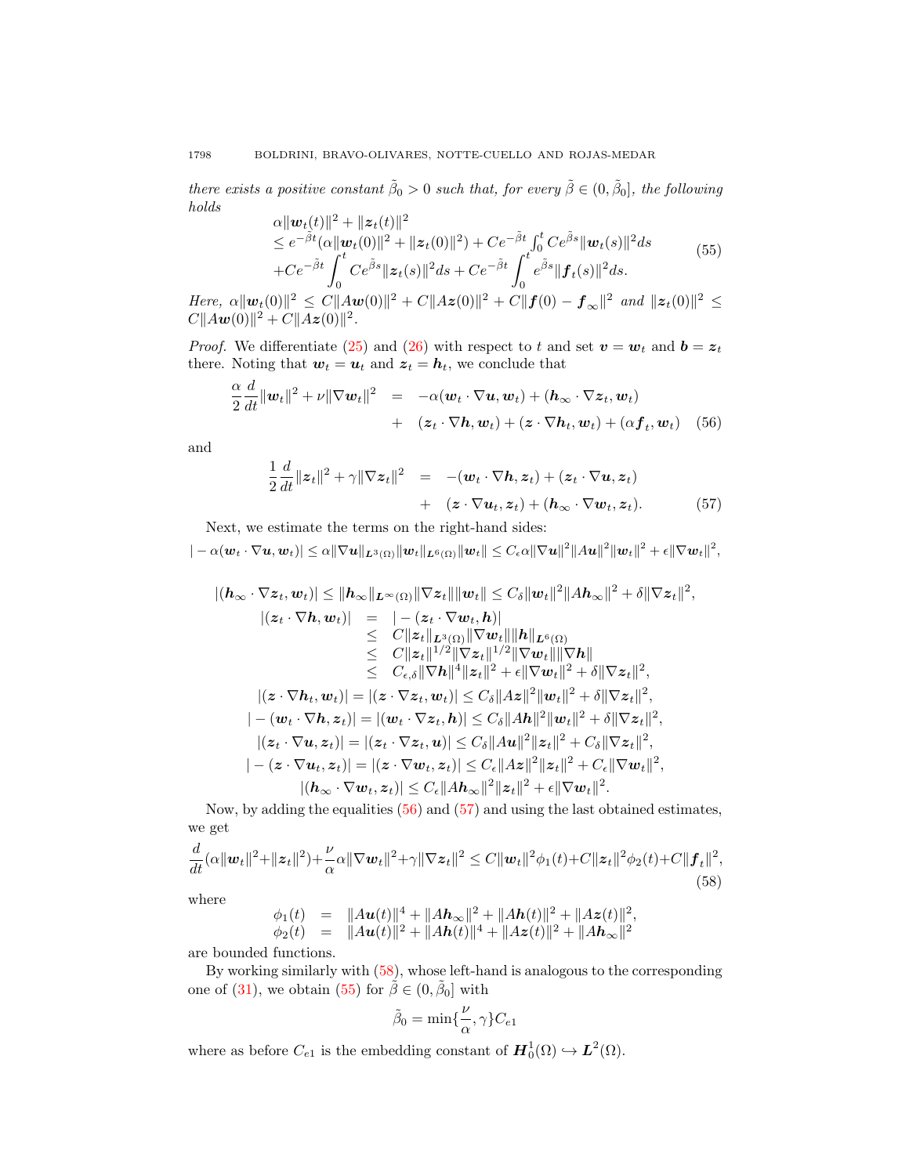there exists a positive constant  $\tilde{\beta}_0 > 0$  such that, for every  $\tilde{\beta} \in (0, \tilde{\beta}_0]$ , the following holds

<span id="page-15-3"></span>
$$
\alpha ||\boldsymbol{w}_t(t)||^2 + ||\boldsymbol{z}_t(t)||^2 \n\le e^{-\tilde{\beta}t} (\alpha ||\boldsymbol{w}_t(0)||^2 + ||\boldsymbol{z}_t(0)||^2) + Ce^{-\tilde{\beta}t} \int_0^t Ce^{\tilde{\beta}s} ||\boldsymbol{w}_t(s)||^2 ds \n+ Ce^{-\tilde{\beta}t} \int_0^t Ce^{\tilde{\beta}s} ||\boldsymbol{z}_t(s)||^2 ds + Ce^{-\tilde{\beta}t} \int_0^t e^{\tilde{\beta}s} ||\boldsymbol{f}_t(s)||^2 ds.
$$
\n(55)

Here,  $\alpha ||\bm{w}_t(0)||^2 \leq C||A\bm{w}(0)||^2 + C||A\bm{z}(0)||^2 + C||\bm{f}(0) - \bm{f}_{\infty}||^2$  and  $||\bm{z}_t(0)||^2 \leq C||A\bm{w}(0)||^2 + C||A\bm{z}(0)||^2 + C||\bm{f}_{\infty}||^2$  $C||Aw(0)||^2 + C||Az(0)||^2$ .

*Proof.* We differentiate [\(25\)](#page-6-0) and [\(26\)](#page-6-0) with respect to t and set  $v = w_t$  and  $b = z_t$ there. Noting that  $w_t = u_t$  and  $z_t = h_t$ , we conclude that

<span id="page-15-0"></span>
$$
\frac{\alpha}{2} \frac{d}{dt} ||\mathbf{w}_t||^2 + \nu ||\nabla \mathbf{w}_t||^2 = -\alpha (\mathbf{w}_t \cdot \nabla \mathbf{u}, \mathbf{w}_t) + (\mathbf{h}_{\infty} \cdot \nabla \mathbf{z}_t, \mathbf{w}_t) \n+ ( \mathbf{z}_t \cdot \nabla \mathbf{h}, \mathbf{w}_t) + (\mathbf{z} \cdot \nabla \mathbf{h}_t, \mathbf{w}_t) + (\alpha \mathbf{f}_t, \mathbf{w}_t) \quad (56)
$$

and

<span id="page-15-1"></span>
$$
\frac{1}{2}\frac{d}{dt}\|z_t\|^2 + \gamma\|\nabla z_t\|^2 = -(w_t \cdot \nabla h, z_t) + (z_t \cdot \nabla u, z_t) \n+ (z \cdot \nabla u_t, z_t) + (h_\infty \cdot \nabla w_t, z_t).
$$
\n(57)

Next, we estimate the terms on the right-hand sides:

 $\vert -\alpha(\boldsymbol{w}_t\cdot\nabla\boldsymbol{u},\boldsymbol{w}_t)\vert \leq \alpha \Vert \nabla\boldsymbol{u}\Vert_{\boldsymbol{L}^3(\Omega)}\Vert \boldsymbol{w}_t\Vert_{\boldsymbol{L}^6(\Omega)}\Vert \boldsymbol{w}_t\Vert \leq C_\epsilon \alpha \Vert \nabla\boldsymbol{u}\Vert^2 \Vert A\boldsymbol{u}\Vert^2 \Vert \boldsymbol{w}_t\Vert^2 + \epsilon \Vert \nabla\boldsymbol{w}_t\Vert^2,$ 

$$
|(h_{\infty} \cdot \nabla z_{t}, w_{t})| \leq ||h_{\infty}||_{L^{\infty}(\Omega)} ||\nabla z_{t}|| ||w_{t}|| \leq C_{\delta} ||w_{t}||^{2} ||Ah_{\infty}||^{2} + \delta ||\nabla z_{t}||^{2},
$$
  
\n
$$
|(z_{t} \cdot \nabla h, w_{t})| = |-(z_{t} \cdot \nabla w_{t}, h)|
$$
  
\n
$$
\leq C ||z_{t}||_{L^{3}(\Omega)} ||\nabla w_{t}|| ||h||_{L^{6}(\Omega)}
$$
  
\n
$$
\leq C ||z_{t}||^{1/2} ||\nabla z_{t}||^{1/2} ||\nabla w_{t}|| ||\nabla h||
$$
  
\n
$$
\leq C_{\epsilon, \delta} ||\nabla h||^{4} ||z_{t}||^{2} + \epsilon ||\nabla w_{t}||^{2} + \delta ||\nabla z_{t}||^{2},
$$
  
\n
$$
|(z \cdot \nabla h_{t}, w_{t})| = |(z \cdot \nabla z_{t}, w_{t})| \leq C_{\delta} ||Az||^{2} ||w_{t}||^{2} + \delta ||\nabla z_{t}||^{2},
$$
  
\n
$$
|-(w_{t} \cdot \nabla h, z_{t})| = |(w_{t} \cdot \nabla z_{t}, h)| \leq C_{\delta} ||Au||^{2} ||w_{t}||^{2} + \delta ||\nabla z_{t}||^{2},
$$
  
\n
$$
|(z_{t} \cdot \nabla u, z_{t})| = |(z_{t} \cdot \nabla z_{t}, u)| \leq C_{\delta} ||Au||^{2} ||z_{t}||^{2} + C_{\delta} ||\nabla z_{t}||^{2},
$$
  
\n
$$
|-(z \cdot \nabla u_{t}, z_{t})| = |(z \cdot \nabla w_{t}, z_{t})| \leq C_{\epsilon} ||Au||^{2} ||z_{t}||^{2} + C_{\epsilon} ||\nabla w_{t}||^{2},
$$
  
\n
$$
|(h_{\infty} \cdot \nabla w_{t}, z_{t})| \leq C_{\epsilon} ||Au_{\infty}||^{2} ||z_{t}||^{2} + \epsilon ||\nab
$$

Now, by adding the equalities  $(56)$  and  $(57)$  and using the last obtained estimates, we get

<span id="page-15-2"></span>
$$
\frac{d}{dt}(\alpha||\boldsymbol{w}_t||^2 + ||\boldsymbol{z}_t||^2) + \frac{\nu}{\alpha}\alpha||\nabla \boldsymbol{w}_t||^2 + \gamma||\nabla \boldsymbol{z}_t||^2 \le C||\boldsymbol{w}_t||^2\phi_1(t) + C||\boldsymbol{z}_t||^2\phi_2(t) + C||\boldsymbol{f}_t||^2,
$$
\n(58)

where

$$
\phi_1(t) = \|A\mathbf{u}(t)\|^4 + \|A\mathbf{h}_{\infty}\|^2 + \|A\mathbf{h}(t)\|^2 + \|A\mathbf{z}(t)\|^2,
$$
  
\n
$$
\phi_2(t) = \|A\mathbf{u}(t)\|^2 + \|A\mathbf{h}(t)\|^4 + \|A\mathbf{z}(t)\|^2 + \|A\mathbf{h}_{\infty}\|^2
$$

are bounded functions.

By working similarly with [\(58\)](#page-15-2), whose left-hand is analogous to the corresponding one of [\(31\)](#page-7-1), we obtain [\(55\)](#page-15-3) for  $\tilde{\beta} \in (0, \tilde{\beta}_0]$  with

$$
\tilde{\beta}_0 = \min\{\frac{\nu}{\alpha}, \gamma\} C_{e1}
$$

where as before  $C_{e_1}$  is the embedding constant of  $\mathbf{H}_0^1(\Omega) \hookrightarrow \mathbf{L}^2(\Omega)$ .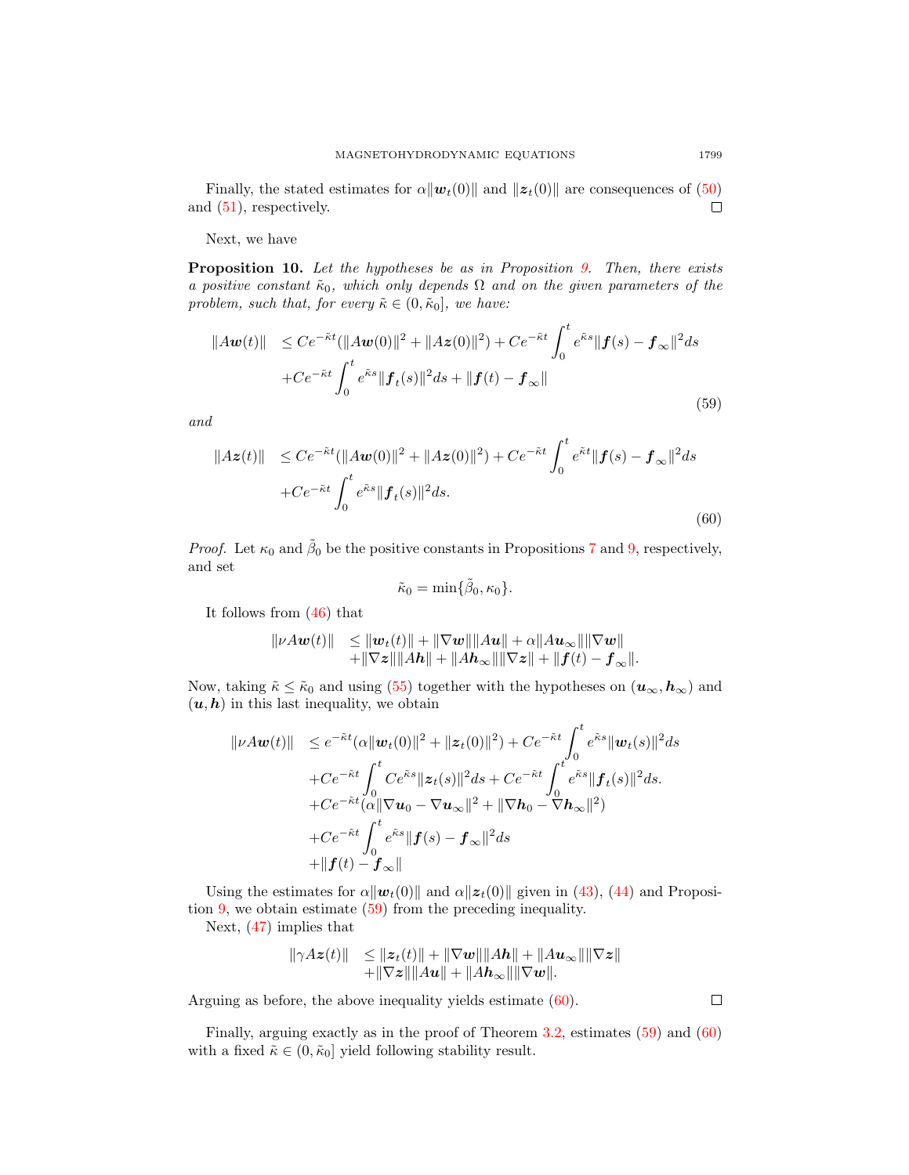Finally, the stated estimates for  $\alpha||\mathbf{w}_t(0)||$  and  $||\mathbf{z}_t(0)||$  are consequences of [\(50\)](#page-14-3) and [\(51\)](#page-14-4), respectively.  $\Box$ 

Next, we have

<span id="page-16-2"></span>Proposition 10. Let the hypotheses be as in Proposition [9.](#page-14-5) Then, there exists a positive constant  $\tilde{\kappa}_0$ , which only depends  $\Omega$  and on the given parameters of the problem, such that, for every  $\tilde{\kappa} \in (0, \tilde{\kappa}_0]$ , we have:

<span id="page-16-0"></span>
$$
||A\boldsymbol{w}(t)|| \leq Ce^{-\tilde{\kappa}t} (||A\boldsymbol{w}(0)||^2 + ||A\boldsymbol{z}(0)||^2) + Ce^{-\tilde{\kappa}t} \int_0^t e^{\tilde{\kappa}s} ||\boldsymbol{f}(s) - \boldsymbol{f}_{\infty}||^2 ds
$$
  
+  $Ce^{-\tilde{\kappa}t} \int_0^t e^{\tilde{\kappa}s} ||\boldsymbol{f}_t(s)||^2 ds + ||\boldsymbol{f}(t) - \boldsymbol{f}_{\infty}||$  (59)

and

<span id="page-16-1"></span>
$$
||Az(t)|| \le Ce^{-\tilde{\kappa}t} (||Aw(0)||^2 + ||Az(0)||^2) + Ce^{-\tilde{\kappa}t} \int_0^t e^{\tilde{\kappa}t} ||f(s) - f_{\infty}||^2 ds
$$
  
+  $Ce^{-\tilde{\kappa}t} \int_0^t e^{\tilde{\kappa}s} ||f_t(s)||^2 ds.$  (60)

*Proof.* Let  $\kappa_0$  and  $\tilde{\beta}_0$  be the positive constants in Propositions [7](#page-10-5) and [9,](#page-14-5) respectively, and set

$$
\tilde{\kappa}_0 = \min\{\tilde{\beta}_0, \kappa_0\}.
$$

It follows from [\(46\)](#page-13-5) that

$$
\| \nu A \mathbf{w}(t) \| \leq \| \mathbf{w}_t(t) \| + \| \nabla \mathbf{w} \| \| A \mathbf{u} \| + \alpha \| A \mathbf{u}_{\infty} \| \| \nabla \mathbf{w} \| + \| \nabla z \| \| A \mathbf{h} \| + \| A \mathbf{h}_{\infty} \| \| \nabla z \| + \| f(t) - f_{\infty} \|.
$$

Now, taking  $\tilde{\kappa} \leq \tilde{\kappa}_0$  and using [\(55\)](#page-15-3) together with the hypotheses on  $(\boldsymbol{u}_{\infty}, \boldsymbol{h}_{\infty})$  and  $(u, h)$  in this last inequality, we obtain

$$
\| \nu A \mathbf{w}(t) \| \leq e^{-\tilde{\kappa}t} (\alpha \| \mathbf{w}_t(0) \|^2 + \| \mathbf{z}_t(0) \|^2) + C e^{-\tilde{\kappa}t} \int_0^t e^{\tilde{\kappa}s} \| \mathbf{w}_t(s) \|^2 ds + C e^{-\tilde{\kappa}t} \int_0^t C e^{\tilde{\kappa}s} \| \mathbf{z}_t(s) \|^2 ds + C e^{-\tilde{\kappa}t} \int_0^t e^{\tilde{\kappa}s} \| \mathbf{f}_t(s) \|^2 ds + C e^{-\tilde{\kappa}t} (\alpha \| \nabla \mathbf{u}_0 - \nabla \mathbf{u}_\infty \|^2 + \| \nabla \mathbf{h}_0 - \nabla \mathbf{h}_\infty \|^2) + C e^{-\tilde{\kappa}t} \int_0^t e^{\tilde{\kappa}s} \| \mathbf{f}(s) - \mathbf{f}_\infty \|^2 ds + \| \mathbf{f}(t) - \mathbf{f}_\infty \|
$$

Using the estimates for  $\alpha||\boldsymbol{w}_t(0)||$  and  $\alpha||\boldsymbol{z}_t(0)||$  given in [\(43\)](#page-13-3), [\(44\)](#page-13-4) and Proposition [9,](#page-14-5) we obtain estimate [\(59\)](#page-16-0) from the preceding inequality.

Next, [\(47\)](#page-13-6) implies that

$$
\|\gamma Az(t)\| \leq \|z_t(t)\| + \|\nabla w\| \|Ah\| + \|Au_\infty\| \|\nabla z\| + \|\nabla z\| \|Au\| + \|Ah_\infty\| \|\nabla w\|.
$$

Arguing as before, the above inequality yields estimate [\(60\)](#page-16-1).

Finally, arguing exactly as in the proof of Theorem [3.2,](#page-8-0) estimates [\(59\)](#page-16-0) and [\(60\)](#page-16-1) with a fixed  $\tilde{\kappa} \in (0, \tilde{\kappa}_0]$  yield following stability result.

 $\Box$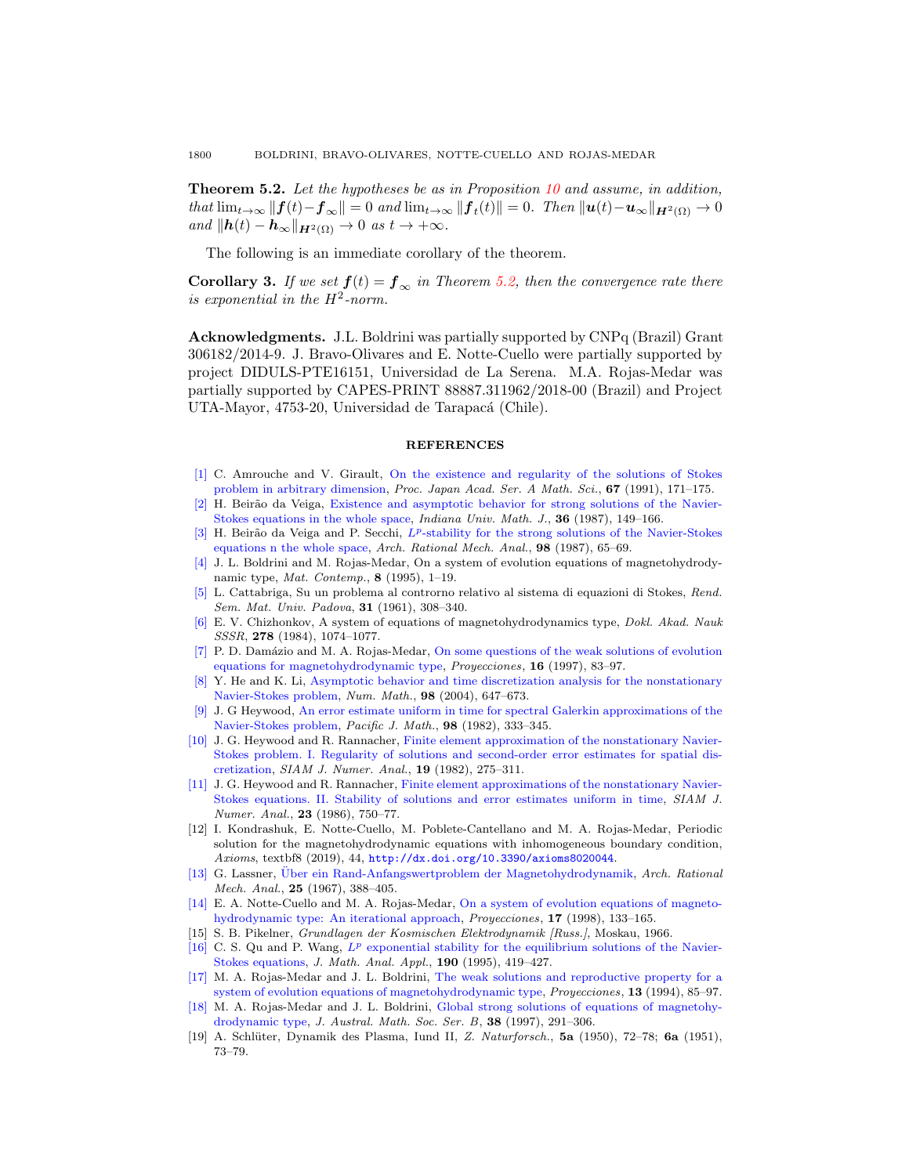<span id="page-17-9"></span>**Theorem 5.2.** Let the hypotheses be as in Proposition [10](#page-16-2) and assume, in addition, that  $\lim_{t\to\infty} ||\mathbf{f}(t)-\mathbf{f}_{\infty}|| = 0$  and  $\lim_{t\to\infty} ||\mathbf{f}_t(t)|| = 0$ . Then  $||\mathbf{u}(t)-\mathbf{u}_{\infty}||_{H^2(\Omega)} \to 0$ and  $\|\mathbf{h}(t) - \mathbf{h}_{\infty}\|_{\mathbf{H}^2(\Omega)} \to 0$  as  $t \to +\infty$ .

The following is an immediate corollary of the theorem.

**Corollary 3.** If we set  $f(t) = f_{\infty}$  in Theorem [5.2,](#page-17-9) then the convergence rate there is exponential in the  $H^2$ -norm.

Acknowledgments. J.L. Boldrini was partially supported by CNPq (Brazil) Grant 306182/2014-9. J. Bravo-Olivares and E. Notte-Cuello were partially supported by project DIDULS-PTE16151, Universidad de La Serena. M.A. Rojas-Medar was partially supported by CAPES-PRINT 88887.311962/2018-00 (Brazil) and Project UTA-Mayor, 4753-20, Universidad de Tarapacá (Chile).

#### REFERENCES

- <span id="page-17-15"></span>[\[1\]](http://www.ams.org/mathscinet-getitem?mr=MR1114965&return=pdf) C. Amrouche and V. Girault, [On the existence and regularity of the solutions of Stokes](http://dx.doi.org/10.3792/pjaa.67.171) [problem in arbitrary dimension,](http://dx.doi.org/10.3792/pjaa.67.171) Proc. Japan Acad. Ser. A Math. Sci., 67 (1991), 171-175.
- <span id="page-17-11"></span>[\[2\]](http://www.ams.org/mathscinet-getitem?mr=MR876996&return=pdf) H. Beirão da Veiga, [Existence and asymptotic behavior for strong solutions of the Navier-](http://dx.doi.org/10.1512/iumj.1987.36.36008)[Stokes equations in the whole space,](http://dx.doi.org/10.1512/iumj.1987.36.36008) Indiana Univ. Math. J., 36 (1987), 149–166.
- [\[3\]](http://www.ams.org/mathscinet-getitem?mr=MR866724&return=pdf) H. Beirão da Veiga and P. Secchi,  $L^p$ [-stability for the strong solutions of the Navier-Stokes](http://dx.doi.org/10.1007/BF00279962) [equations n the whole space,](http://dx.doi.org/10.1007/BF00279962) Arch. Rational Mech. Anal., 98 (1987), 65–69.
- <span id="page-17-16"></span>[\[4\]](http://www.ams.org/mathscinet-getitem?mr=MR1330029&return=pdf) J. L. Boldrini and M. Rojas-Medar, On a system of evolution equations of magnetohydrodynamic type, *Mat. Contemp.*, **8** (1995), 1-19.
- <span id="page-17-14"></span>[\[5\]](http://www.ams.org/mathscinet-getitem?mr=MR138894&return=pdf) L. Cattabriga, Su un problema al controrno relativo al sistema di equazioni di Stokes, Rend. Sem. Mat. Univ. Padova, 31 (1961), 308–340.
- <span id="page-17-2"></span>[\[6\]](http://www.ams.org/mathscinet-getitem?mr=MR765617&return=pdf) E. V. Chizhonkov, A system of equations of magnetohydrodynamics type, Dokl. Akad. Nauk SSSR, 278 (1984), 1074-1077.
- <span id="page-17-6"></span>[\[7\]](http://www.ams.org/mathscinet-getitem?mr=MR1642038&return=pdf) P. D. Damázio and M. A. Rojas-Medar, [On some questions of the weak solutions of evolution](http://dx.doi.org/10.22199/S07160917.1997.0002.00001) [equations for magnetohydrodynamic type,](http://dx.doi.org/10.22199/S07160917.1997.0002.00001) Proyecciones, 16 (1997), 83–97.
- <span id="page-17-13"></span>[\[8\]](http://www.ams.org/mathscinet-getitem?mr=MR2099315&return=pdf) Y. He and K. Li, [Asymptotic behavior and time discretization analysis for the nonstationary](http://dx.doi.org/10.1007/s00211-004-0532-y) [Navier-Stokes problem,](http://dx.doi.org/10.1007/s00211-004-0532-y) Num. Math., 98 (2004), 647–673.
- <span id="page-17-17"></span>[\[9\]](http://www.ams.org/mathscinet-getitem?mr=MR650014&return=pdf) J. G Heywood, [An error estimate uniform in time for spectral Galerkin approximations of the](http://dx.doi.org/10.2140/pjm.1982.98.333) [Navier-Stokes problem,](http://dx.doi.org/10.2140/pjm.1982.98.333) Pacific J. Math., 98 (1982), 333–345.
- [\[10\]](http://www.ams.org/mathscinet-getitem?mr=MR650052&return=pdf) J. G. Heywood and R. Rannacher, [Finite element approximation of the nonstationary Navier-](http://dx.doi.org/10.1137/0719018)[Stokes problem. I. Regularity of solutions and second-order error estimates for spatial dis](http://dx.doi.org/10.1137/0719018)[cretization,](http://dx.doi.org/10.1137/0719018) SIAM J. Numer. Anal., 19 (1982), 275–311.
- <span id="page-17-10"></span>[\[11\]](http://www.ams.org/mathscinet-getitem?mr=MR849281&return=pdf) J. G. Heywood and R. Rannacher, [Finite element approximations of the nonstationary Navier-](http://dx.doi.org/10.1137/0723049)[Stokes equations. II. Stability of solutions and error estimates uniform in time,](http://dx.doi.org/10.1137/0723049) SIAM J. Numer. Anal., 23 (1986), 750-77.
- <span id="page-17-4"></span>[12] I. Kondrashuk, E. Notte-Cuello, M. Poblete-Cantellano and M. A. Rojas-Medar, Periodic solution for the magnetohydrodynamic equations with inhomogeneous boundary condition, Axioms, textbf8 (2019), 44, <http://dx.doi.org/10.3390/axioms8020044>.
- <span id="page-17-3"></span>[\[13\]](http://www.ams.org/mathscinet-getitem?mr=MR0216809&return=pdf) G. Lassner, Über ein Rand-Anfangswertproblem der Magnetohydrodynamik, Arch. Rational Mech. Anal., 25 (1967), 388–405.
- <span id="page-17-5"></span>[\[14\]](http://www.ams.org/mathscinet-getitem?mr=MR1676978&return=pdf) E. A. Notte-Cuello and M. A. Rojas-Medar, [On a system of evolution equations of magneto](http://dx.doi.org/10.22199/S07160917.1998.0002.00001)[hydrodynamic type: An iterational approach,](http://dx.doi.org/10.22199/S07160917.1998.0002.00001) Proyecciones, 17 (1998), 133–165.
- <span id="page-17-1"></span>[15] S. B. Pikelner, Grundlagen der Kosmischen Elektrodynamik [Russ.], Moskau, 1966.
- <span id="page-17-12"></span>[\[16\]](http://www.ams.org/mathscinet-getitem?mr=MR1318403&return=pdf) C. S. Qu and P. Wang,  $L^p$  [exponential stability for the equilibrium solutions of the Navier-](http://dx.doi.org/10.1006/jmaa.1995.1085)[Stokes equations,](http://dx.doi.org/10.1006/jmaa.1995.1085) *J. Math. Anal. Appl.*, **190** (1995), 419-427.
- <span id="page-17-7"></span>[\[17\]](http://www.ams.org/mathscinet-getitem?mr=MR1383558&return=pdf) M. A. Rojas-Medar and J. L. Boldrini, [The weak solutions and reproductive property for a](http://dx.doi.org/10.22199/S07160917.1994.0002.00002) [system of evolution equations of magnetohydrodynamic type,](http://dx.doi.org/10.22199/S07160917.1994.0002.00002) *Proyecciones*, 13 (1994), 85–97.
- <span id="page-17-8"></span>[\[18\]](http://www.ams.org/mathscinet-getitem?mr=MR1437958&return=pdf) M. A. Rojas-Medar and J. L. Boldrini, [Global strong solutions of equations of magnetohy](http://dx.doi.org/10.1017/S0334270000000680)[drodynamic type,](http://dx.doi.org/10.1017/S0334270000000680) J. Austral. Math. Soc. Ser. B, 38 (1997), 291–306.
- <span id="page-17-0"></span>[19] A. Schlüter, Dynamik des Plasma, Iund II, Z. Naturforsch., 5a (1950), 72–78; 6a (1951), 73–79.